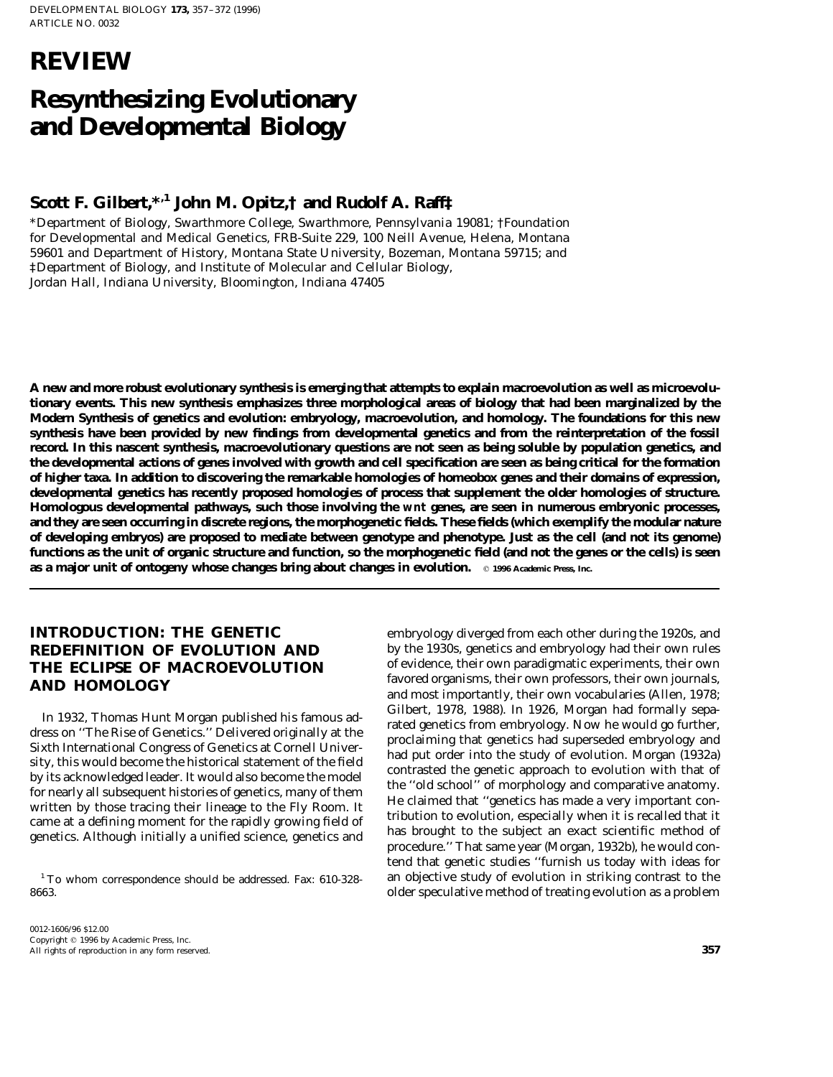## **REVIEW**

# **Resynthesizing Evolutionary and Developmental Biology**

**Scott F. Gilbert,\*,1 John M. Opitz,† and Rudolf A. Raff‡**

\**Department of Biology, Swarthmore College, Swarthmore, Pennsylvania 19081;* †*Foundation for Developmental and Medical Genetics, FRB-Suite 229, 100 Neill Avenue, Helena, Montana 59601 and Department of History, Montana State University, Bozeman, Montana 59715; and* ‡*Department of Biology, and Institute of Molecular and Cellular Biology, Jordan Hall, Indiana University, Bloomington, Indiana 47405*

**A new and more robust evolutionary synthesis is emerging that attempts to explain macroevolution as well as microevolutionary events. This new synthesis emphasizes three morphological areas of biology that had been marginalized by the Modern Synthesis of genetics and evolution: embryology, macroevolution, and homology. The foundations for this new synthesis have been provided by new findings from developmental genetics and from the reinterpretation of the fossil record. In this nascent synthesis, macroevolutionary questions are not seen as being soluble by population genetics, and the developmental actions of genes involved with growth and cell specification are seen as being critical for the formation of higher taxa. In addition to discovering the remarkable homologies of homeobox genes and their domains of expression, developmental genetics has recently proposed homologies of process that supplement the older homologies of structure. Homologous developmental pathways, such those involving the** *wnt* **genes, are seen in numerous embryonic processes, and they are seen occurring in discrete regions, the morphogenetic fields. These fields (which exemplify the modular nature of developing embryos) are proposed to mediate between genotype and phenotype. Just as the cell (and not its genome) functions as the unit of organic structure and function, so the morphogenetic field (and not the genes or the cells) is seen as a major unit of ontogeny whose changes bring about changes in evolution.**  $\circ$  1996 Academic Press, Inc.

**INTRODUCTION: THE GENETIC** embryology diverged from each other during the 1920s, and **REDEFINITION OF EVOLUTION AND** by the 1930s, genetics and embryology had their own rules THE ECLIPSE OF MACROEVOLUTION of evidence, their own paradigmatic experiments, their own<br>AND HOMOLOGY **of the interventional** favored organisms, their own professors, their own journals, favored organisms, their own professors, their own journals, **AND HOMOLOGY** and most importantly, their own vocabularies (Allen, 1978; In 1932, Thomas Hunt Morgan published his famous adcaptions. In 1926, Morgan had formally separates on "The Rise of Genetics." Delivered originally at the Sixth International Congress of Genetics at Cornell Univer-<br>Sixth I tend that genetic studies ''furnish us today with ideas for <sup>1</sup> To whom correspondence should be addressed. Fax: 610-328- an objective study of evolution in striking contrast to the 8663. older speculative method of treating evolution as a problem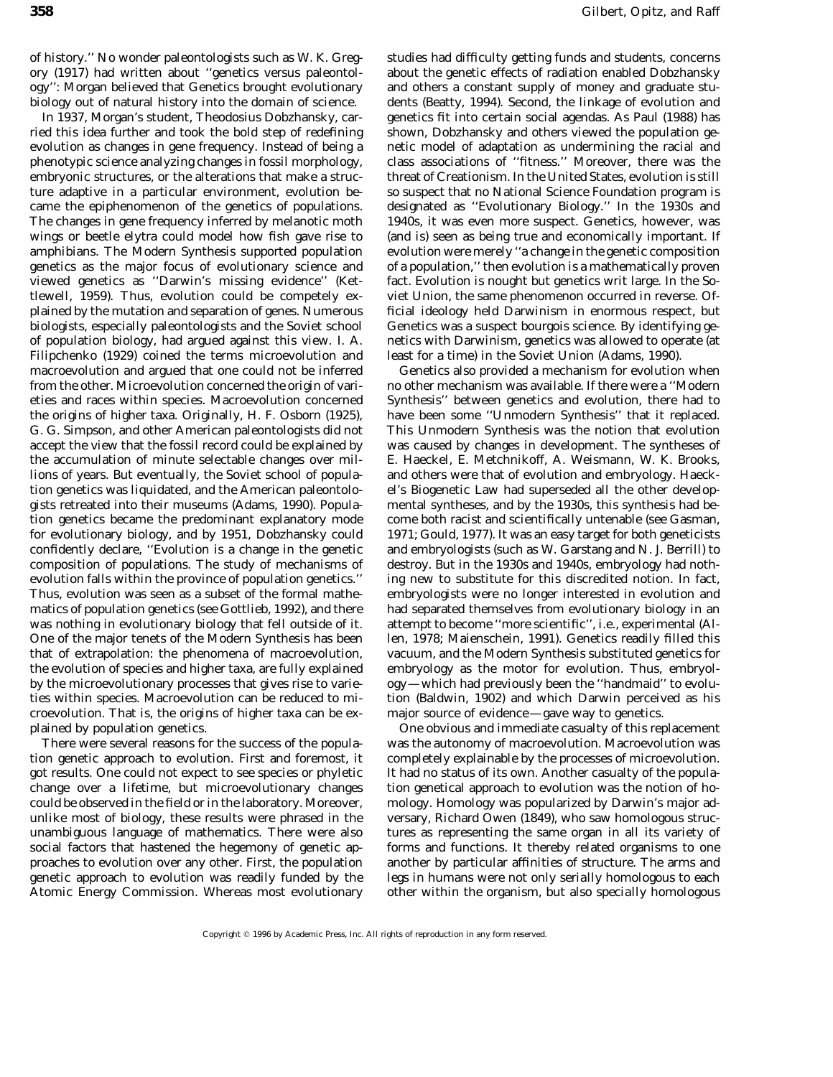ried this idea further and took the bold step of redefining shown, Dobzhansky and others viewed the population geevolution as changes in gene frequency. Instead of being a netic model of adaptation as undermining the racial and phenotypic science analyzing changes in fossil morphology, class associations of ''fitness.'' Moreover, there was the embryonic structures, or the alterations that make a struc- threat of Creationism. In the United States, evolution is still ture adaptive in a particular environment, evolution be- so suspect that no National Science Foundation program is came the epiphenomenon of the genetics of populations. designated as ''Evolutionary Biology.'' In the 1930s and The changes in gene frequency inferred by melanotic moth 1940s, it was even more suspect. Genetics, however, was wings or beetle elytra could model how fish gave rise to (and is) seen as being true and economically important. If amphibians. The Modern Synthesis supported population evolution were merely ''a change in the genetic composition genetics as the major focus of evolutionary science and of a population,'' then evolution is a mathematically proven viewed genetics as ''Darwin's missing evidence'' (Ket- fact. Evolution is nought but genetics writ large. In the Sotlewell, 1959). Thus, evolution could be competely ex- viet Union, the same phenomenon occurred in reverse. Ofplained by the mutation and separation of genes. Numerous ficial ideology held Darwinism in enormous respect, but biologists, especially paleontologists and the Soviet school Genetics was a suspect bourgois science. By identifying geof population biology, had argued against this view. I. A. netics with Darwinism, genetics was allowed to operate (at Filipchenko (1929) coined the terms microevolution and least for a time) in the Soviet Union (Adams, 1990). macroevolution and argued that one could not be inferred Genetics also provided a mechanism for evolution when the accumulation of minute selectable changes over mil- E. Haeckel, E. Metchnikoff, A. Weismann, W. K. Brooks, gists retreated into their museums (Adams, 1990). Popula- mental syntheses, and by the 1930s, this synthesis had betion genetics became the predominant explanatory mode come both racist and scientifically untenable (see Gasman, evolution falls within the province of population genetics.'' ing new to substitute for this discredited notion. In fact, by the microevolutionary processes that gives rise to varie- ogy—which had previously been the ''handmaid'' to evolucroevolution. That is, the origins of higher taxa can be ex- major source of evidence—gave way to genetics. plained by population genetics. One obvious and immediate casualty of this replacement

tion genetic approach to evolution. First and foremost, it completely explainable by the processes of microevolution. got results. One could not expect to see species or phyletic It had no status of its own. Another casualty of the populachange over a lifetime, but microevolutionary changes tion genetical approach to evolution was the notion of hocould be observed in the field or in the laboratory. Moreover, mology. Homology was popularized by Darwin's major adunlike most of biology, these results were phrased in the versary, Richard Owen (1849), who saw homologous strucunambiguous language of mathematics. There were also tures as representing the same organ in all its variety of social factors that hastened the hegemony of genetic ap-<br>forms and functions. It thereby related organisms to one genetic approach to evolution was readily funded by the legs in humans were not only *serially homologous* to each Atomic Energy Commission. Whereas most evolutionary other within the organism, but also *specially homologous*

of history.'' No wonder paleontologists such as W. K. Greg- studies had difficulty getting funds and students, concerns ory (1917) had written about ''genetics *versus* paleontol- about the genetic effects of radiation enabled Dobzhansky ogy'': Morgan believed that Genetics brought evolutionary and others a constant supply of money and graduate stubiology out of natural history into the domain of science. dents (Beatty, 1994). Second, the linkage of evolution and In 1937, Morgan's student, Theodosius Dobzhansky, car- genetics fit into certain social agendas. As Paul (1988) has

from the other. Microevolution concerned the origin of vari- no other mechanism was available. If there were a ''Modern eties and races within species. Macroevolution concerned Synthesis'' between genetics and evolution, there had to the origins of higher taxa. Originally, H. F. Osborn (1925), have been some ''*Unmodern* Synthesis'' that it replaced. G. G. Simpson, and other American paleontologists did not This Unmodern Synthesis was the notion that evolution accept the view that the fossil record could be explained by was caused by changes in *development.* The syntheses of lions of years. But eventually, the Soviet school of popula- and others were that of evolution and *embryology.* Haecktion genetics was liquidated, and the American paleontolo- el's Biogenetic Law had superseded all the other developfor evolutionary biology, and by 1951, Dobzhansky could 1971; Gould, 1977). It was an easy target for both geneticists confidently declare, ''Evolution is a change in the genetic and embryologists (such as W. Garstang and N. J. Berrill) to composition of populations. The study of mechanisms of destroy. But in the 1930s and 1940s, embryology had noth-Thus, evolution was seen as a subset of the formal mathe- embryologists were no longer interested in evolution and matics of population genetics (see Gottlieb, 1992), and there had separated themselves from evolutionary biology in an was nothing in evolutionary biology that fell outside of it. attempt to become "more scientific", i.e., experimental (Al-One of the major tenets of the Modern Synthesis has been len, 1978; Maienschein, 1991). Genetics readily filled this that of extrapolation: the phenomena of macroevolution, vacuum, and the Modern Synthesis substituted genetics for the evolution of species and higher taxa, are fully explained embryology as the motor for evolution. Thus, embryolties within species. Macroevolution can be reduced to mi- tion (Baldwin, 1902) and which Darwin perceived as his

There were several reasons for the success of the popula- was the autonomy of macroevolution. Macroevolution was proaches to evolution over any other. First, the population another by particular affinities of structure. The arms and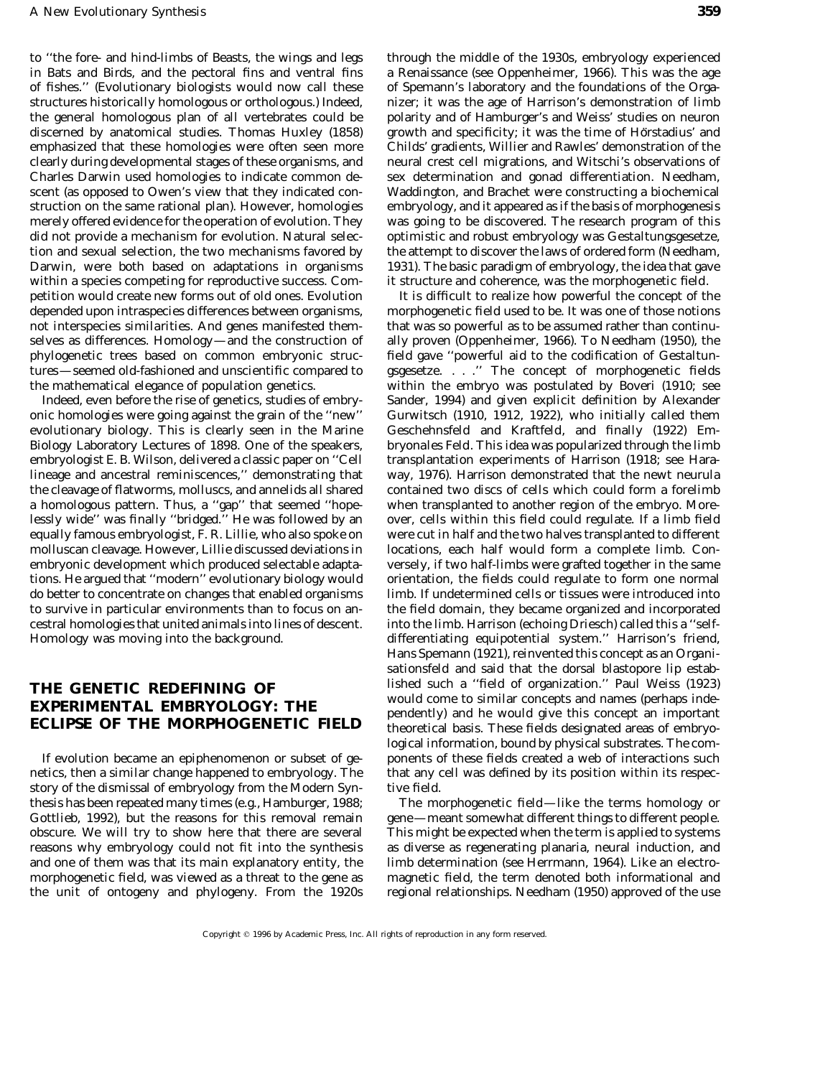to ''the fore- and hind-limbs of Beasts, the wings and legs through the middle of the 1930s, embryology experienced in Bats and Birds, and the pectoral fins and ventral fins a Renaissance (see Oppenheimer, 1966). This was the age of fishes.'' (Evolutionary biologists would now call these of Spemann's laboratory and the foundations of the Orgastructures *historically* homologous or *orthologous.*) Indeed, nizer; it was the age of Harrison's demonstration of limb the *general homologous* plan of all vertebrates could be polarity and of Hamburger's and Weiss' studies on neuron discerned by anatomical studies. Thomas Huxley (1858) growth and specificity; it was the time of Hörstadius' and emphasized that these homologies were often seen more Childs' gradients, Willier and Rawles' demonstration of the clearly during developmental stages of these organisms, and neural crest cell migrations, and Witschi's observations of Charles Darwin used homologies to indicate common de- sex determination and gonad differentiation. Needham, scent (as opposed to Owen's view that they indicated con- Waddington, and Brachet were constructing a biochemical struction on the same rational plan). However, homologies embryology, and it appeared as if the basis of morphogenesis merely offered evidence for the *operation* of evolution. They was going to be discovered. The research program of this did not provide a *mechanism* for evolution. Natural selec- optimistic and robust embryology was *Gestaltungsgesetze,* tion and sexual selection, the two mechanisms favored by the attempt to discover the laws of ordered form (Needham, Darwin, were both based on adaptations in organisms 1931). The basic paradigm of embryology, the idea that gave within a species competing for reproductive success. Com- it structure and coherence, was the *morphogenetic field.* petition would create new forms out of old ones. Evolution It is difficult to realize how powerful the concept of the depended upon intraspecies *differences* between organisms, morphogenetic field used to be. It was one of those notions not interspecies *similarities.* And genes manifested them- that was so powerful as to be assumed rather than continuselves as differences. Homology—and the construction of ally proven (Oppenheimer, 1966). To Needham (1950), the phylogenetic trees based on common embryonic struc- field gave ''powerful aid to the codification of *Gestaltun*tures—seemed old-fashioned and unscientific compared to *gsgesetze.* . . .'' The concept of morphogenetic fields the mathematical elegance of population genetics. within the embryo was postulated by Boveri (1910; see

onic homologies were going against the grain of the ''new'' Gurwitsch (1910, 1912, 1922), who initially called them evolutionary biology. This is clearly seen in the Marine *Geschehnsfeld* and *Kraftfeld,* and finally (1922) *Em-*Biology Laboratory Lectures of 1898. One of the speakers, *bryonales Feld.* This idea was popularized through the limb embryologist E. B. Wilson, delivered a classic paper on ''Cell transplantation experiments of Harrison (1918; see Haralineage and ancestral reminiscences,'' demonstrating that way, 1976). Harrison demonstrated that the newt neurula the cleavage of flatworms, molluscs, and annelids all shared contained two discs of cells which could form a forelimb a homologous pattern. Thus, a ''gap'' that seemed ''hope- when transplanted to another region of the embryo. Morelessly wide" was finally "bridged." He was followed by an over, cells within this field could regulate. If a limb field equally famous embryologist, F. R. Lillie, who also spoke on were cut in half and the two halves transplanted to different molluscan cleavage. However, Lillie discussed deviations in locations, each half would form a complete limb. Conembryonic development which produced selectable adapta- versely, if two half-limbs were grafted together in the same tions. He argued that ''modern'' evolutionary biology would orientation, the fields could regulate to form one normal do better to concentrate on changes that enabled organisms limb. If undetermined cells or tissues were introduced into to survive in particular environments than to focus on an- the field domain, they became organized and incorporated cestral homologies that united animals into lines of descent. into the limb. Harrison (echoing Driesch) called this a ''self-Homology was moving into the background. differentiating equipotential system.'' Harrison's friend,

netics, then a similar change happened to embryology. The that any cell was defined by its position within its respecstory of the dismissal of embryology from the Modern Syn- tive field. thesis has been repeated many times (e.g., Hamburger, 1988; The morphogenetic field—like the terms homology or Gottlieb, 1992), but the reasons for this removal remain gene—meant somewhat different things to different people. obscure. We will try to show here that there are several This might be expected when the term is applied to systems reasons why embryology could not fit into the synthesis as diverse as regenerating planaria, neural induction, and and one of them was that its main explanatory entity, the limb determination (see Herrmann, 1964). Like an electromorphogenetic field, was viewed as a threat to the gene as magnetic field, the term denoted both informational and the unit of ontogeny and phylogeny. From the 1920s regional relationships. Needham (1950) approved of the use

Indeed, even before the rise of genetics, studies of embry- Sander, 1994) and given explicit definition by Alexander Hans Spemann (1921), reinvented this concept as an *Organisationsfeld* and said that the dorsal blastopore lip estab-THE GENETIC REDEFINING OF lished such a "field of organization." Paul Weiss (1923)<br>EXPERIMENTAL EMBRYOLOGY: THE would come to similar concepts and names (perhaps inde-<br>ECLIPSE OF THE MORPHOGENETIC FIELD theoretical basis. logical information, bound by physical substrates. The com-If evolution became an epiphenomenon or subset of ge- ponents of these fields created a web of interactions such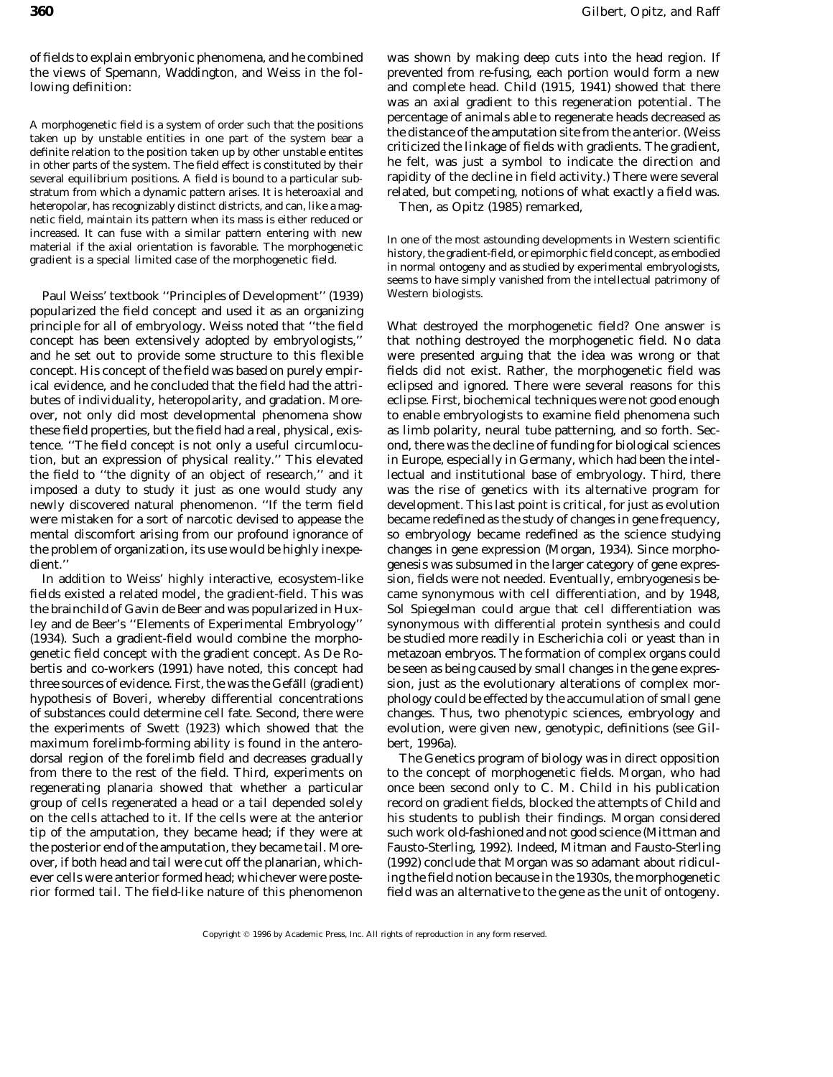the views of Spemann, Waddington, and Weiss in the fol- prevented from re-fusing, each portion would form a new lowing definition: and complete head. Child (1915, 1941) showed that there

in other parts of the system. The field effect is constituted by their he felt, was just a symbol to indicate the direction and several equilibrium positions. A field is bound to a particular sub-<br>several equilibrium posit several equilibrium positions. A field is bound to a particular substratum from which a dynamic pattern arises. It is heteroaxial and related, but competing, notions of what exactly a field was. heteropolar, has recognizably distinct districts, and can, like a mag-<br>
Then, as Opitz (1985) remarked, netic field, maintain its pattern when its mass is either reduced or increased. It can fuse with a similar pattern entering with new<br>material if the axial orientation is favorable. The morphogenetic history, the gradient-field, or epimorphic field concept, as embodied<br>gradient is a special

Paul Weiss' textbook "Principles of Development" (1939) Western biologists. popularized the field concept and used it as an organizing principle for all of embryology. Weiss noted that ''the field What destroyed the morphogenetic field? One answer is concept has been extensively adopted by embryologists,'' that nothing destroyed the morphogenetic field. No data and he set out to provide some structure to this flexible were presented arguing that the idea was wrong or that concept. His concept of the field was based on purely empir- fields did not exist. Rather, the morphogenetic field was ical evidence, and he concluded that the field had the attri- eclipsed and ignored. There were several reasons for this butes of individuality, heteropolarity, and gradation. More- eclipse. First, biochemical techniques were not good enough over, not only did most developmental phenomena show to enable embryologists to examine field phenomena such these field properties, but the field had a real, physical, exis- as limb polarity, neural tube patterning, and so forth. Sectence. ''The field concept is not only a useful circumlocu- ond, there was the decline of funding for biological sciences tion, but an expression of *physical reality.*'' This elevated in Europe, especially in Germany, which had been the intelthe field to ''the dignity of an *object* of *research,*'' and it lectual and institutional base of embryology. Third, there imposed a duty to study it just as one would study any was the rise of genetics with its alternative program for newly discovered natural phenomenon. ''If the term field development. This last point is critical, for just as evolution were mistaken for a sort of narcotic devised to appease the became redefined as the study of changes in gene *frequency,* mental discomfort arising from our profound ignorance of so embryology became redefined as the science studying the problem of organization, its use would be highly inexpe- changes in gene *expression* (Morgan, 1934). Since morpho-

fields existed a related model, the *gradient-field.* This was came synonymous with cell differentiation, and by 1948, the brainchild of Gavin de Beer and was popularized in Hux- Sol Spiegelman could argue that cell differentiation was ley and de Beer's ''Elements of Experimental Embryology'' synonymous with differential protein synthesis and could (1934). Such a gradient-field would combine the morpho- be studied more readily in *Escherichia coli* or yeast than in bertis and co-workers (1991) have noted, this concept had be seen as being caused by small changes in the gene expresthree sources of evidence. First, the was the *Gefall* (gradient) sion, just as the evolutionary alterations of complex morhypothesis of Boveri, whereby differential concentrations phology could be effected by the accumulation of small gene of substances could determine cell fate. Second, there were changes. Thus, two phenotypic sciences, embryology and the experiments of Swett (1923) which showed that the evolution, were given new, genotypic, definitions (see Gilmaximum forelimb-forming ability is found in the antero-<br>bert, 1996a). dorsal region of the forelimb field and decreases gradually The Genetics program of biology was in direct opposition from there to the rest of the field. Third, experiments on to the concept of morphogenetic fields. Morgan, who had regenerating planaria showed that whether a particular once been second only to C. M. Child in his publication group of cells regenerated a head or a tail depended solely record on gradient fields, blocked the attempts of Child and on the cells attached to it. If the cells were at the anterior his students to publish their findings. Morgan considered tip of the amputation, they became head; if they were at such work old-fashioned and not good science (Mittman and the posterior end of the amputation, they became tail. More- Fausto-Sterling, 1992). Indeed, Mitman and Fausto-Sterling over, if both head and tail were cut off the planarian, which- (1992) conclude that Morgan was so adamant about ridiculever cells were anterior formed head; whichever were poste- ing the field notion because in the 1930s, *the morphogenetic* rior formed tail. The field-like nature of this phenomenon *field was an alternative to the gene as the unit of ontogeny.*

of fields to explain embryonic phenomena, and he combined was shown by making deep cuts into the head region. If was an axial gradient to this regeneration potential. The A morphogenetic field is a system of order such that the positions<br>taken up by unstable entities in one part of the system bear a<br>definite relation to the position taken up by other unstable entites<br>definite relation to th

seems to have simply vanished from the intellectual patrimony of

dient.'' genesis was subsumed in the larger category of gene expres-In addition to Weiss' highly interactive, ecosystem-like sion, fields were not needed. Eventually, embryogenesis begenetic field concept with the gradient concept. As De Ro- metazoan embryos. The formation of complex organs could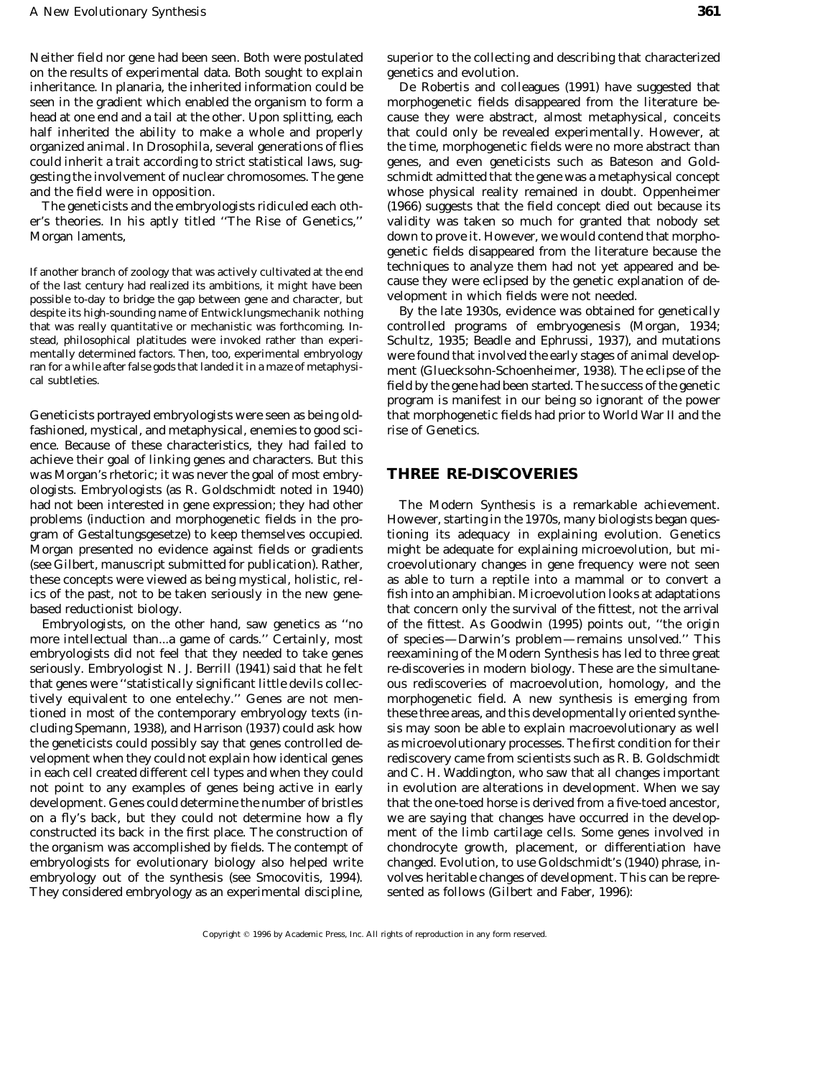Neither field nor gene had been seen. Both were postulated superior to the collecting and describing that characterized on the results of experimental data. Both sought to explain genetics and evolution. inheritance. In planaria, the inherited information could be De Robertis and colleagues (1991) have suggested that seen in the gradient which enabled the organism to form a morphogenetic fields disappeared from the literature behead at one end and a tail at the other. Upon splitting, each cause they were abstract, almost metaphysical, conceits half inherited the ability to make a whole and properly that could only be revealed experimentally. However, at organized animal. In *Drosophila*, several generations of flies the time, morphogenetic fields were no more abstract than could inherit a trait according to strict statistical laws, sug- genes, and even geneticists such as Bateson and Goldgesting the involvement of nuclear chromosomes. The gene schmidt admitted that the gene was a metaphysical concept and the field were in opposition. whose physical reality remained in doubt. Oppenheimer

possible to-day to bridge the gap between gene and character, but despite its high-sounding name of *Entwicklungsmechanik* nothing By the late 1930s, evidence was obtained for genetically that was really quantitative or mechanistic was forthcoming. In- controlled programs of embryogenesis (Morgan, 1934; stead, philosophical platitudes were invoked rather than experi- Schultz, 1935; Beadle and Ephrussi, 1937), and mutations

fashioned, mystical, and metaphysical, enemies to good sci- rise of Genetics. ence. Because of these characteristics, they had failed to achieve their goal of linking genes and characters. But this was Morgan's rhetoric; it was never the goal of most embry- **THREE RE-DISCOVERIES** ologists. Embryologists (as R. Goldschmidt noted in 1940) had not been interested in gene expression; they had other The Modern Synthesis is a remarkable achievement. problems (induction and morphogenetic fields in the pro- However, starting in the 1970s, many biologists began quesgram of *Gestaltungsgesetze*) to keep themselves occupied. tioning its adequacy in explaining evolution. Genetics Morgan presented no evidence against fields or gradients might be adequate for explaining microevolution, but mi- (see Gilbert, manuscript submitted for publication). Rather, croevolutionary changes in gene frequency were not seen these concepts were viewed as being mystical, holistic, rel- as able to turn a reptile into a mammal or to convert a ics of the past, not to be taken seriously in the new gene- fish into an amphibian. Microevolution looks at adaptations based reductionist biology. that concern only the survival of the fittest, not the arrival

more intellectual than...a game of cards.'' Certainly, most of species—Darwin's problem—remains unsolved.'' This embryologists did not feel that they needed to take genes reexamining of the Modern Synthesis has led to three great seriously. Embryologist N. J. Berrill (1941) said that he felt *re*-discoveries in modern biology. These are the simultanethat genes were ''statistically significant little devils collec- ous rediscoveries of macroevolution, homology, and the tively equivalent to one entelechy.'' Genes are not men- morphogenetic field. A new synthesis is emerging from tioned in most of the contemporary embryology texts (in- these three areas, and this developmentally oriented synthecluding Spemann, 1938), and Harrison (1937) could ask how sis may soon be able to explain macroevolutionary as well the geneticists could possibly say that genes controlled de- as microevolutionary processes. The first condition for their velopment when they could not explain how identical genes rediscovery came from scientists such as R. B. Goldschmidt in each cell created different cell types and when they could and C. H. Waddington, who saw that all changes important not point to any examples of genes being active in early in evolution are alterations in development. When we say development. Genes could determine the number of bristles that the one-toed horse is derived from a five-toed ancestor, on a fly's back, but they could not determine how a fly we are saying that changes have occurred in the developconstructed its back in the first place. The construction of ment of the limb cartilage cells. Some genes involved in the organism was accomplished by fields. The contempt of chondrocyte growth, placement, or differentiation have embryologists for evolutionary biology also helped write changed. Evolution, to use Goldschmidt's (1940) phrase, inembryology out of the synthesis (see Smocovitis, 1994). volves heritable changes of development. This can be repre-They considered embryology as an experimental discipline, sented as follows (Gilbert and Faber, 1996):

The geneticists and the embryologists ridiculed each oth- (1966) suggests that the field concept died out because its er's theories. In his aptly titled ''The Rise of Genetics,'' validity was taken so much for granted that nobody set Morgan laments, down to prove it. However, we would contend that morphogenetic fields disappeared from the literature because the If another branch of zoology that was actively cultivated at the end<br>of the last century had realized its ambitions, it might have been<br>notice they were eclipsed by the genetic explanation of de-<br>nossible to-day to bridge

mentally determined factors. Then, too, experimental embryology were found that involved the early stages of animal develop-<br>ran for a while after false gods that landed it in a maze of metaphysi-<br>cal subtleties. field by program is manifest in our being so ignorant of the power Geneticists portrayed embryologists were seen as being old- that morphogenetic fields had prior to World War II and the

Embryologists, on the other hand, saw genetics as ''no of the fittest. As Goodwin (1995) points out, ''the origin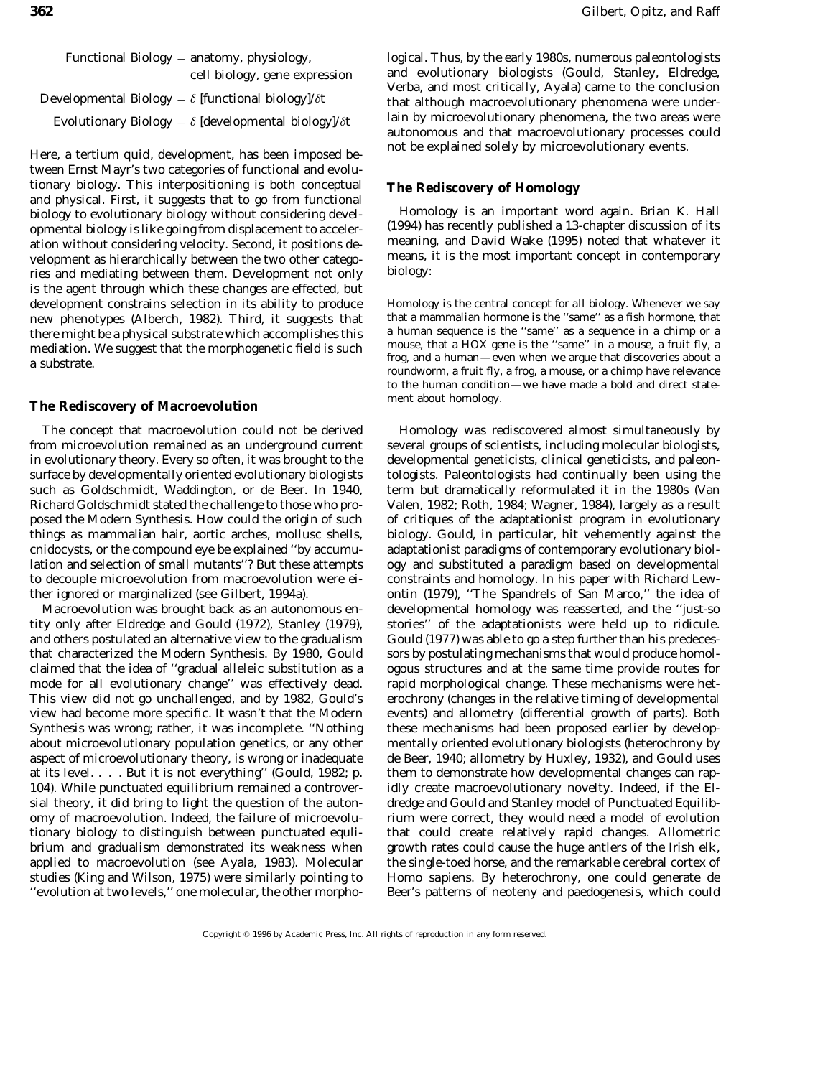not be explained solely by microevolutionary events. Here, a *tertium quid,* development, has been imposed between Ernst Mayr's two categories of functional and evolutionary biology. This interpositioning is both conceptual<br>and physical. First, it suggests that to go from functional<br>biology to evolutionary biology without considering devel-<br>opmental biology is like going from displacem is the agent through which these changes are effected, but development constrains selection in its ability to produce Homology is the central concept for *all* biology. Whenever we say<br>new phenotypes (Alberch, 1982). Third, it suggests that that a mammalian hormone is the "same" a new phenotypes (Alberch, 1982). Third, it suggests that that a mammalian hormone is the "same" as a fish hormone, that there might be a physical substrate which accomplishes this a human sequence is the "same" as a sequenc there might be a physical substrate which accomplishes this a human sequence is the "same" as a sequence in a chimp or a the "same" in a mouse, a fruit fly, a the morphogenetic field is such a mouse, that a HOX gene is the mediation. We suggest that the morphogenetic field is such mouse, that a HOX gene is the ''same'' in a mouse, a fruit fly, a<br>frog, and a human—even when we argue that discoveries about a

### ment about homology. *The Rediscovery of Macroevolution*

from microevolution remained as an underground current several groups of scientists, including molecular biologists, in evolutionary theory. Every so often, it was brought to the developmental geneticists, clinical geneticists, and paleonsurface by developmentally oriented evolutionary biologists tologists. Paleontologists had continually been using the such as Goldschmidt, Waddington, or de Beer. In 1940, term but dramatically reformulated it in the 1980s (Van Richard Goldschmidt stated the challenge to those who pro- Valen, 1982; Roth, 1984; Wagner, 1984), largely as a result posed the Modern Synthesis. How could the origin of such of critiques of the adaptationist program in evolutionary things as mammalian hair, aortic arches, mollusc shells, biology. Gould, in particular, hit vehemently against the cnidocysts, or the compound eye be explained ''by accumu- adaptationist paradigms of contemporary evolutionary biollation and selection of small mutants"? But these attempts ogy and substituted a paradigm based on developmental to decouple microevolution from macroevolution were ei- constraints and homology. In his paper with Richard Lewther ignored or marginalized (see Gilbert, 1994a). ontin (1979), ''The Spandrels of San Marco,'' the idea of

tity only after Eldredge and Gould (1972), Stanley (1979), stories'' of the adaptationists were held up to ridicule. and others postulated an alternative view to the gradualism Gould (1977) was able to go a step further than his predecesthat characterized the Modern Synthesis. By 1980, Gould sors by postulating mechanisms that would produce homolclaimed that the idea of ''gradual alleleic substitution as a ogous structures and at the same time provide routes for mode for all evolutionary change'' was effectively dead. rapid morphological change. These mechanisms were het-This view did not go unchallenged, and by 1982, Gould's erochrony (changes in the relative timing of developmental view had become more specific. It wasn't that the Modern events) and allometry (differential growth of parts). Both Synthesis was wrong; rather, it was incomplete. "Nothing these mechanisms had been proposed earlier by developabout microevolutionary population genetics, or any other mentally oriented evolutionary biologists (heterochrony by aspect of microevolutionary theory, is wrong or inadequate de Beer, 1940; allometry by Huxley, 1932), and Gould uses at its level. . . . But it is not everything'' (Gould, 1982; p. them to demonstrate how developmental changes can rap-104). While punctuated equilibrium remained a controver- idly create macroevolutionary novelty. Indeed, if the Elsial theory, it did bring to light the question of the auton- dredge and Gould and Stanley model of Punctuated Equilibomy of macroevolution. Indeed, the failure of microevolu- rium were correct, they would need a model of evolution tionary biology to distinguish between punctuated equli- that could create relatively rapid changes. Allometric brium and gradualism demonstrated its weakness when growth rates could cause the huge antlers of the Irish elk, applied to macroevolution (see Ayala, 1983). Molecular the single-toed horse, and the remarkable cerebral cortex of studies (King and Wilson, 1975) were similarly pointing to *Homo sapiens.* By heterochrony, one could generate de

Functional Biology = anatomy, physiology, logical. Thus, by the early 1980s, numerous paleontologists cell biology, gene expression and evolutionary biologists (Gould, Stanley, Eldredge, Developmental Biology =  $\delta$  [functional biology]/ $\delta t$  that although macroevolutionary phenomena were under-Evolutionary Biology =  $\delta$  [developmental biology]/ $\delta t$  lain by microevolutionary phenomena, the two areas were autonomous and that macroevolutionary processes could

a substrate.<br>The and a human—even when we argue that discoveries about a a substrate.<br>The substrate of a chimp have relevance and a substrate of a substrate of a substrate. to the human condition—we have made a bold and direct state-

The concept that macroevolution could not be derived Homology was rediscovered almost simultaneously by Macroevolution was brought back as an autonomous en- developmental homology was reasserted, and the ''just-so ''evolution at two levels,'' one molecular, the other morpho- Beer's patterns of neoteny and paedogenesis, which could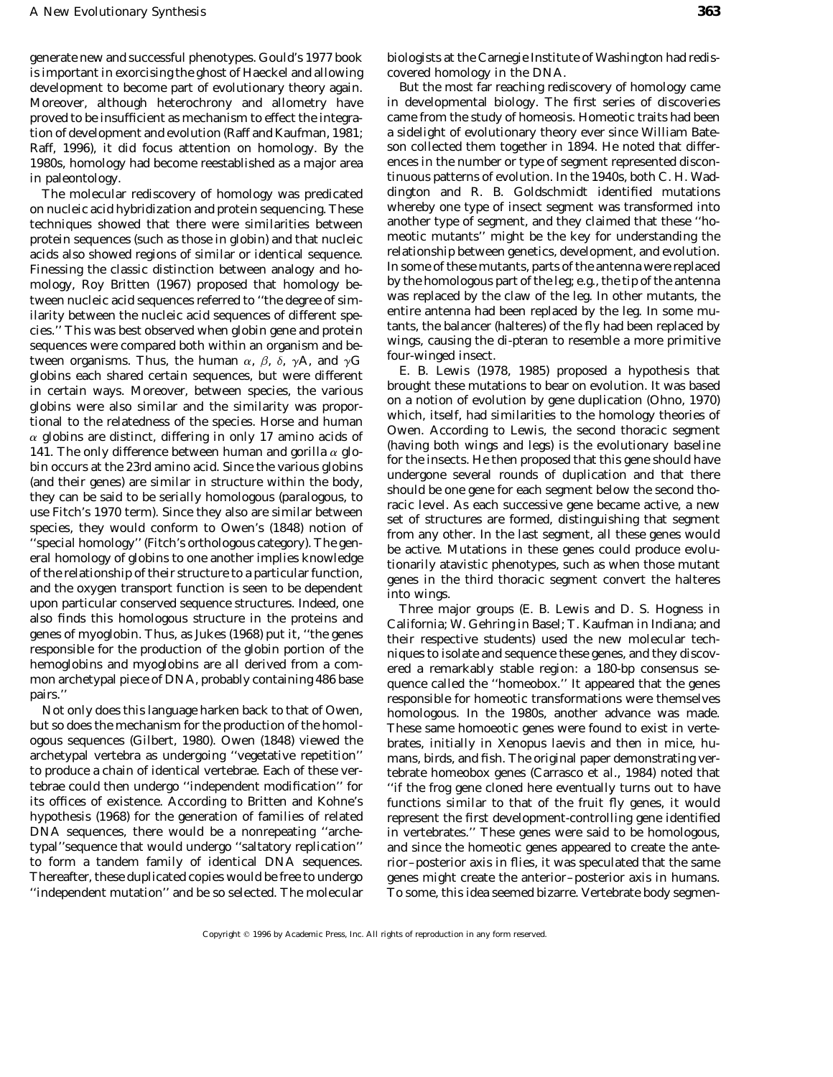generate new and successful phenotypes. Gould's 1977 book biologists at the Carnegie Institute of Washington had redisis important in exorcising the ghost of Haeckel and allowing covered homology in the DNA. development to become part of evolutionary theory again. But the most far reaching rediscovery of homology came Moreover, although heterochrony and allometry have in developmental biology. The first series of discoveries proved to be insufficient as mechanism to effect the integra- came from the study of homeosis. Homeotic traits had been tion of development and evolution (Raff and Kaufman, 1981; a sidelight of evolutionary theory ever since William Bate-Raff, 1996), it did focus attention on homology. By the son collected them together in 1894. He noted that differ-1980s, homology had become reestablished as a major area ences in the number or type of segment represented disconin paleontology. tinuous patterns of evolution. In the 1940s, both C. H. Wad-

on nucleic acid hybridization and protein sequencing. These techniques showed that there were similarities between another type of segment, and they claimed that these "ho-<br>protein sequences (such as those in globin) and that nucleic meotic mutants" might be the key for understandi protein sequences (such as those in globin) and that nucleic meotic mutants'' might be the key for understanding the acids also showed regions of similar or identical sequence.<br>Finessing the classic distinction between analogy and homology in some of these mutants, parts of the antenna were replaced<br>mology Roy Britten (1967) proposed tha mology, Roy Britten (1967) proposed that homology be- by the homologous part of the leg; e.g., the tip of the antenna<br>tween puckic acid sequences referred to "the degree of sim- was replaced by the claw of the leg. In othe tween nucleic acid sequences referred to "the degree of sim-<br>
ilarity between the nucleic acid sequences of different spe-<br>
cies." This was best observed when globin gene and protein<br>
sequences were compared both within a globins each shared certain sequences, but were different<br>
locugit these mutations to bear on evolution. It was based<br>
in certain ways. Moreover, between species, the various doubly these mutations to bear on evolution. I

ogous sequences (Gilbert, 1980). Owen (1848) viewed the brates, initially in *Xenopus laevis* and then in mice, huto produce a chain of identical vertebrae. Each of these ver- tebrate homeobox genes (Carrasco *et al.,* 1984) noted that tebrae could then undergo "independent modification" for the frog gene cloned here eventually turns out to have<br>its offices of existence. According to Britten and Kohne's tinctions similar to that of the fruit fly genes, i hypothesis (1968) for the generation of families of related represent the first development-controlling gene identified DNA sequences, there would be a nonrepeating ''arche- in vertebrates.'' These genes were said to be homologous, typal''sequence that would undergo ''saltatory replication'' and since the homeotic genes appeared to create the anteto form a tandem family of identical DNA sequences. rior–posterior axis in flies, it was speculated that the same Thereafter, these duplicated copies would be free to undergo genes might create the anterior–posterior axis in humans. ''independent mutation'' and be so selected. The molecular To some, this idea seemed bizarre. Vertebrate body segmen-

The molecular rediscovery of homology was predicated dington and R. B. Goldschmidt identified mutations

mans, birds, and fish. The original paper demonstrating verfunctions similar to that of the fruit fly genes, it would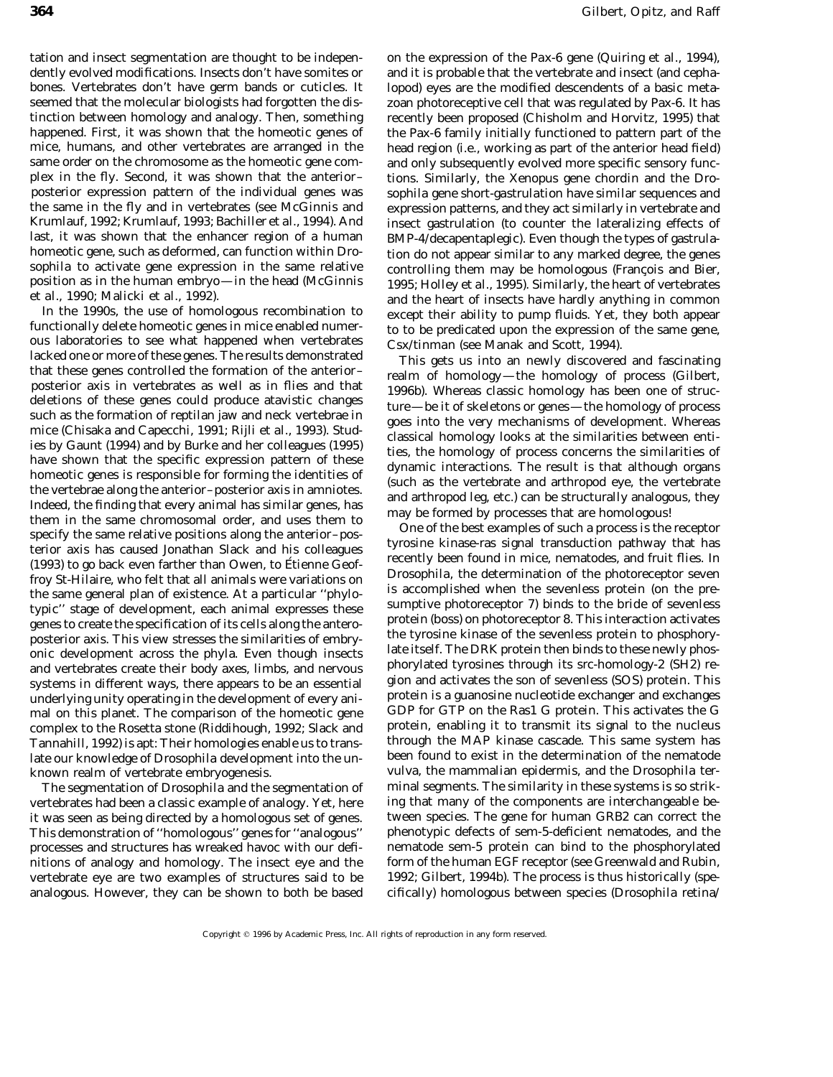tation and insect segmentation are thought to be indepen- on the expression of the *Pax-6* gene (Quiring *et al.,* 1994), dently evolved modifications. Insects don't have somites or and it is probable that the vertebrate and insect (and cephabones. Vertebrates don't have germ bands or cuticles. It lopod) eyes are the modified descendents of a basic metaseemed that the molecular biologists had forgotten the dis- zoan photoreceptive cell that was regulated by Pax-6. It has tinction between homology and analogy. Then, something recently been proposed (Chisholm and Horvitz, 1995) that happened. First, it was shown that the homeotic genes of the Pax-6 family initially functioned to pattern part of the mice, humans, and other vertebrates are arranged in the head region (i.e., working as part of the anterior head field) same order on the chromosome as the homeotic gene com-<br>and only subsequently evolved more specific sensory funcplex in the fly. Second, it was shown that the anterior– tions. Similarly, the *Xenopus* gene *chordin* and the *Dro*posterior expression pattern of the individual genes was *sophila* gene *short-gastrulation* have similar sequences and the same in the fly and in vertebrates (see McGinnis and expression patterns, and they act similarly in vertebrate and Krumlauf, 1992; Krumlauf, 1993; Bachiller *et al.,* 1994). And insect gastrulation (to counter the lateralizing effects of last, it was shown that the enhancer region of a human BMP-4/decapentaplegic). Even though the types of gastrula-<br>homeotic gene, such as *deformed*, can function within *Dro*- tion do not annear similar to any marked degre homeotic gene, such as *deformed,* can function within *Dro-* tion do not appear similar to any marked degree, the genes *sophila* to activate gene expression in the same relative controlling them may be homologous (François and Bier,<br>position as in the human embryo—in the head (McGinnis 1995; Holley *et al* 1995) Similarly the heart of vert

position as in the human embryo—in the head (McGinnis<br>
pass; Holley et al., 1995). Similarly, the heart of vertebrates<br>
et al., 1990, Malicki et al., 1992).<br>
In the 1990s, the use of homologous recombination to<br>
except the From Bureau and The photon content and an investment areas to the same general plan of existence. At a particular "phylo-<br>typic" stage of development, each animal expresses these<br>genes to create the specification of its ce systems in different ways, there appears to be an essential gion and activates the *son of sevenless* (SOS) protein. This<br>underlying unity operating in the development of every ani-<br>mal on this planet. The comparison of th mal on this planet. The comparison of the homeotic gene GDP for GTP on the Ras1 G protein. This activates the G<br>complex to the Rosetta stone (Riddihough, 1992; Slack and protein, enabling it to transmit its signal to the n complex to the Rosetta stone (Riddihough, 1992; Slack and protein, enabling it to transmit its signal to the nucleus<br>Tannabill 1992) is ant: Their homologies enable us to trans- through the MAP kinase cascade. This same sy Tannahill, 1992) is apt: Their homologies enable us to trans- through the MAP kinase cascade. This same system has late our knowledge of *Drosophila* development into the un-

vertebrates had been a classic example of analogy. Yet, here ing that many of the components are interchangeable beit was seen as being directed by a homologous set of genes. tween species. The gene for human GRB2 can correct the This demonstration of ''homologous'' genes for ''analogous'' phenotypic defects of *sem-5*-deficient nematodes, and the processes and structures has wreaked havoc with our defi- nematode sem-5 protein can bind to the phosphorylated nitions of analogy and homology. The insect eye and the form of the human EGF receptor (see Greenwald and Rubin, vertebrate eye are two examples of structures said to be 1992; Gilbert, 1994b). The process is thus historically (speanalogous. However, they can be shown to both be based cifically) homologous between species (*Drosophila* retina/

known realm of vertebrate embryogenesis. vulva, the mammalian epidermis, and the *Drosophila* ter-The segmentation of *Drosophila* and the segmentation of minal segments. The similarity in these systems is so strik-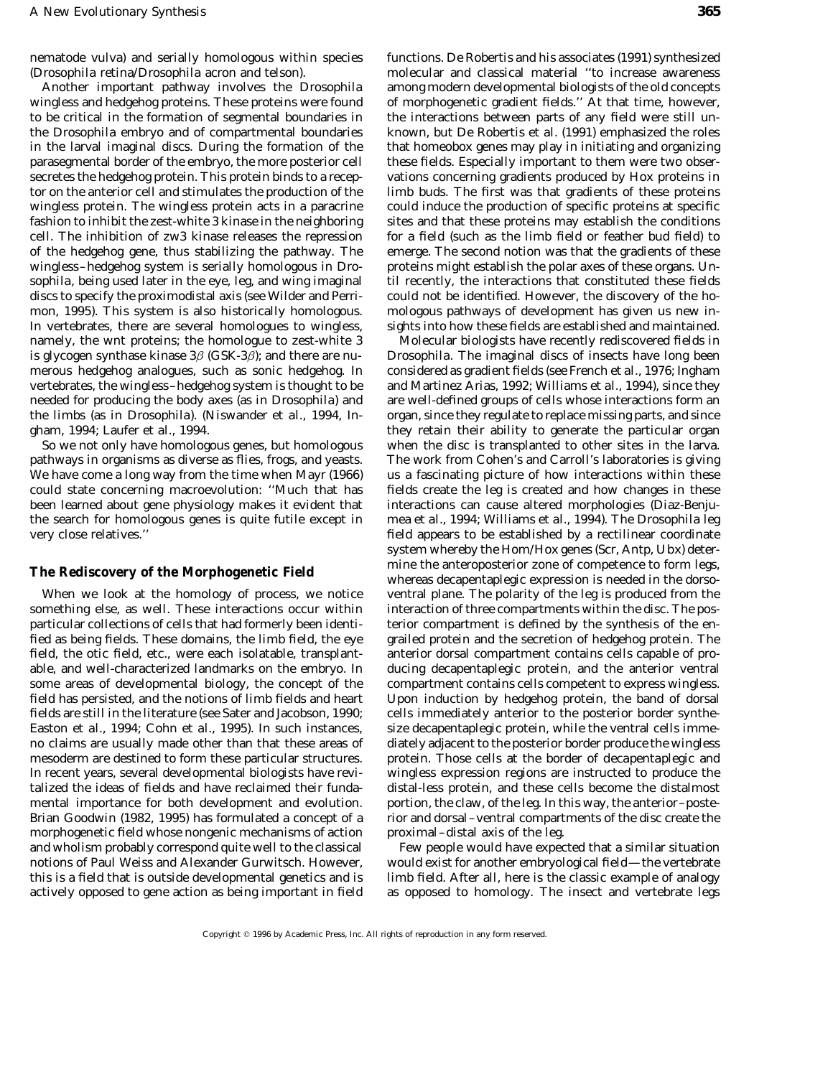wingless and hedgehog proteins. These proteins were found of morphogenetic gradient fields." At that time, however, to be critical in the formation of segmental boundaries in the interactions between parts of any field were still unthe *Drosophila* embryo and of compartmental boundaries known, but De Robertis *et al.* (1991) emphasized the roles in the larval imaginal discs. During the formation of the that homeobox genes may play in initiating and organizing parasegmental border of the embryo, the more posterior cell these fields. Especially important to them were two obsersecretes the hedgehog protein. This protein binds to a recep-<br>vations concerning gradients produced by Hox proteins in tor on the anterior cell and stimulates the production of the limb buds. The first was that gradients of these proteins wingless protein. The wingless protein acts in a paracrine could induce the production of specific proteins at specific fashion to inhibit the zest-white 3 kinase in the neighboring sites and that these proteins may establish the conditions cell. The inhibition of zw3 kinase releases the repression for a field (such as the limb field or feather bud field) to of the hedgehog gene, thus stabilizing the pathway. The emerge. The second notion was that the gradients of these wingless–hedgehog system is serially homologous in *Dro-* proteins might establish the polar axes of these organs. Un*sophila*, being used later in the eye, leg, and wing imaginal til recently, the interactions that constituted these fields discs to specify the proximodistal axis (see Wilder and Perri- could not be identified. However, the discovery of the homon, 1995). This system is also historically homologous. mologous pathways of development has given us new in-In vertebrates, there are several homologues to wingless, sights into how these fields are established and maintained. namely, the wnt proteins; the homologue to zest-white 3 Molecular biologists have recently rediscovered fields in is glycogen synthase kinase  $3\beta$  (GSK- $3\beta$ ); and there are nu- *Drosophila*. The imaginal discs of insects have long been merous *hedgehog* analogues, such as *sonic hedgehog.* In considered as gradient fields (see French *et al.,* 1976; Ingham vertebrates, the wingless–hedgehog system is thought to be and Martinez Arias, 1992; Williams *et al.,* 1994), since they needed for producing the body axes (as in *Drosophila*) and are well-defined groups of cells whose interactions form an the limbs (as in *Drosophila*). (Niswander *et al.,* 1994, In- organ, since they regulate to replace missing parts, and since gham, 1994; Laufer *et al.,* 1994. they retain their ability to generate the particular organ

pathways in organisms as diverse as flies, frogs, and yeasts. The work from Cohen's and Carroll's laboratories is giving We have come a long way from the time when Mayr (1966) us a fascinating picture of how interactions within these could state concerning macroevolution: ''Much that has fields create the leg is created and how changes in these been learned about gene physiology makes it evident that interactions can cause altered morphologies (Diaz-Benjuthe search for homologous genes is quite futile except in mea *et al.,* 1994; Williams *et al.,* 1994). The *Drosophila* leg very close relatives.'' field appears to be established by a rectilinear coordinate

something else, as well. These interactions occur within interaction of three compartments within the disc. The posparticular collections of cells that had formerly been identi- terior compartment is defined by the synthesis of the enfied as being fields. These domains, the limb field, the eye grailed protein and the secretion of hedgehog protein. The field, the otic field, etc., were each isolatable, transplant- anterior dorsal compartment contains cells capable of proable, and well-characterized landmarks on the embryo. In ducing decapentaplegic protein, and the anterior ventral some areas of developmental biology, the concept of the compartment contains cells competent to express wingless. field has persisted, and the notions of limb fields and heart Upon induction by hedgehog protein, the band of dorsal fields are still in the literature (see Sater and Jacobson, 1990; cells immediately anterior to the posterior border synthe-Easton *et al.,* 1994; Cohn *et al.,* 1995). In such instances, size decapentaplegic protein, while the ventral cells immeno claims are usually made other than that these areas of diately adjacent to the posterior border produce the wingless mesoderm are destined to form these particular structures. protein. Those cells at the border of *decapentaplegic* and In recent years, several developmental biologists have revi- *wingless* expression regions are instructed to produce the talized the ideas of fields and have reclaimed their funda- distal-less protein, and these cells become the distalmost mental importance for both development and evolution. portion, the claw, of the leg. In this way, the anterior–poste-Brian Goodwin (1982, 1995) has formulated a concept of a rior and dorsal–ventral compartments of the disc create the morphogenetic field whose nongenic mechanisms of action proximal-distal axis of the leg. and wholism probably correspond quite well to the classical Few people would have expected that a similar situation notions of Paul Weiss and Alexander Gurwitsch. However, would exist for another embryological field—the vertebrate this is a field that is outside developmental genetics and is limb field. After all, here is the classic example of analogy actively opposed to gene action as being important in field as opposed to homology. The insect and vertebrate legs

nematode vulva) and serially homologous within species functions. De Robertis and his associates (1991) synthesized (*Drosophila* retina/*Drosophila* acron and telson). molecular and classical material ''to increase awareness Another important pathway involves the *Drosophila* among modern developmental biologists of the old concepts

So we not only have homologous genes, but homologous when the disc is transplanted to other sites in the larva. system whereby the Hom/Hox genes (*Scr, Antp, Ubx*) deter-The Rediscovery of the Morphogenetic Field mine the anteroposterior zone of competence to form legs,<br>whereas decapentaplegic expression is needed in the dorso-When we look at the homology of process, we notice ventral plane. The polarity of the leg is produced from the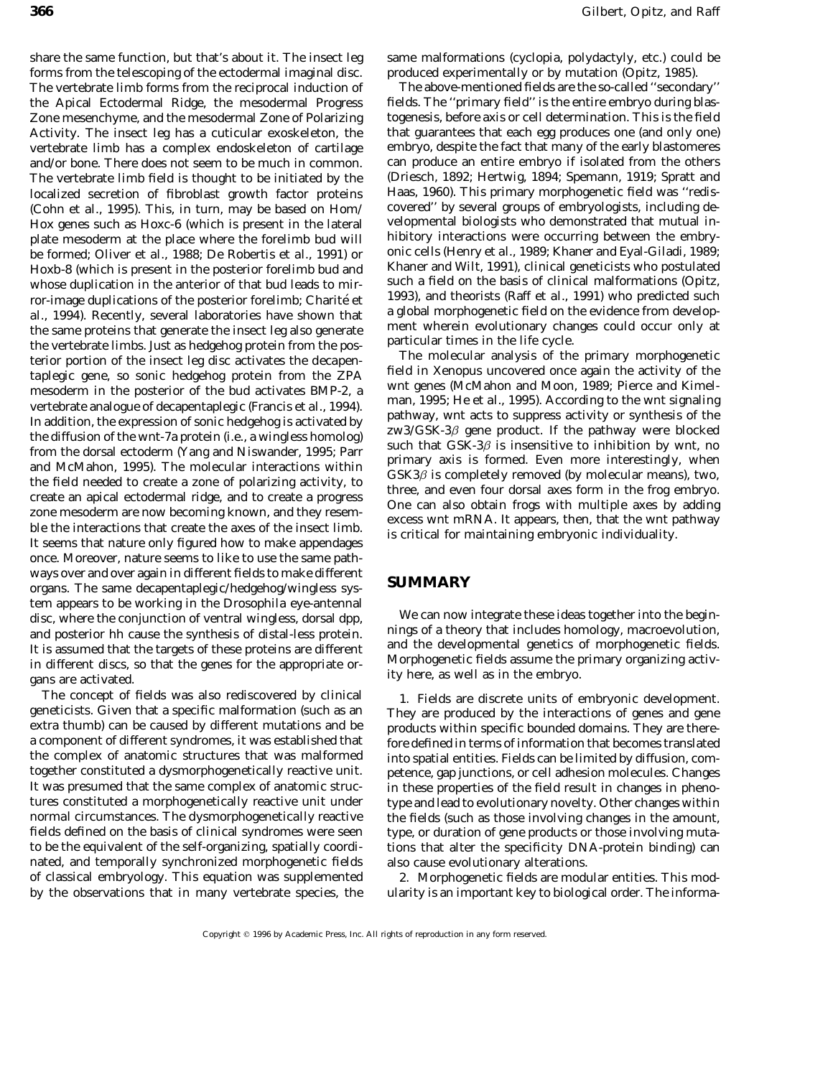share the same function, but that's about it. The insect leg same malformations (cyclopia, polydactyly, etc.) could be forms from the telescoping of the ectodermal imaginal disc. produced experimentally or by mutation (Opitz, 1985). The vertebrate limb forms from the reciprocal induction of The above-mentioned fields are the so-called ''secondary'' the Apical Ectodermal Ridge, the mesodermal Progress fields. The ''primary field'' is the entire embryo during blaslocalized secretion of fibroblast growth factor proteins Haas, 1960). This primary morphogenetic field was "redis-<br>(Cohn et al., 1995). This, in turn, may be based on Hom/ covered'' by several groups of embryologists, incl (Cohn et al., 1995). This, in turn, may be based on Hom/ al., 1994). Recently, several laboratories have shown that a global morphogenetic field on the evidence from develop-<br>the same proteins that generate the insect leg also generate the ment wherein evolutionary changes could vertebrate analogue of decapentaplegic (Francis et al., 1994).<br>
In addition, the expression of *sonic hedgehog* is activated by<br>
the diffusion of the wnt-7a protein (i.e., a wingless homolog)<br>
the diffusion of the wnt-7a once. Moreover, nature seems to like to use the same pathways over and over again in different fields to make different **SUMMARY** organs. The same decapentaplegic/hedgehog/wingless system appears to be working in the *Drosophila* eye-antennal<br>disc, where the conjunction of ventral wingless, dorsal dpp,<br>and posterior hh cause the synthesis of distal-less protein.<br>It is assumed that the targets of these p

The concept of fields was also rediscovered by clinical 1. Fields are discrete units of embryonic development.<br>
geneticists. Given that a specific malformation (such as an<br>
extra thumb) can be caused by different mutations nated, and temporally synchronized *morphogenetic* fields also cause evolutionary alterations. by the observations that in many vertebrate species, the ularity is an important key to biological order. The informa-

Zone mesenchyme, and the mesodermal Zone of Polarizing togenesis, before axis or cell determination. This is the field Activity. The insect leg has a cuticular exoskeleton, the that guarantees that each egg produces one (and only one) vertebrate limb has a complex endoskeleton of cartilage embryo, despite the fact that many of the early blastomeres and/or bone. There does not seem to be much in common. can produce an entire embryo if isolated from the others The vertebrate limb field is thought to be initiated by the (Driesch, 1892; Hertwig, 1894; Spemann, 1919; Spratt and localized secretion of fibroblast growth factor proteins Haas, 1960). This primary morphogenetic field wa Hox genes such as *Hoxc-6* (which is present in the lateral velopmental biologists who demonstrated that mutual inplate mesoderm at the place where the forelimb bud will hibitory interactions were occurring between the embry-<br>he formed: Oliver et al. 1988: De Bobertis et al. 1991) or onic cells (Henry et al., 1989; Khaner and Eval-Gil be formed; Oliver *et al.*, 1988; De Robertis *et al.*, 1991) or onic cells (Henry *et al.,* 1989; Khaner and Eyal-Giladi, 1989;<br>*Hoxb-8* (which is present in the posterior forelimb bud and Khaner and Wilt, 1991), clinical *Hoxb-8* (which is present in the posterior forelimb bud and least and Wilt, 1991), clinical geneticists who postulated (whose duplication in the anterior of that bud leads to mirely such a field on the basis of clinical m whose duplication in the anterior of that bud leads to mir-<br>region a field on the basis of clinical malformations (Opitz,<br> $\frac{1993}$ , and theorists (Raff *et al.*, 1991) who predicted such 1993), and theorists (Raff *et al.,* 1991) who predicted such ror-image duplications of the posterior forelimb; Charité *et* and theorists (Raff *et al.,* 1991) who predicted such ror-<br>1994), Recently, several laboratories

taplegic gene, so sonic hedgehog protein from the ZPA<br>mesoderm in the posterior of the bud activates BMP-2, a *wnt* genes (McMahon and Moon, 1989; Pierce and Kimel-<br>watchpate analogue of deconomialistic (Francis et al. 199

fore defined in terms of information that becomes translated the complex of anatomic structures that was malformed into spatial entities. Fields can be limited by diffusion, comtogether constituted a dysmorphogenetically reactive unit. petence, gap junctions, or cell adhesion molecules. Changes It was presumed that the same complex of anatomic struc-<br>tures constituted a morphogenetically reactive unit under<br>type and lead to evolutionary novelty. Other changes within type and lead to evolutionary novelty. Other changes *within normal* circumstances. The *dysmorphogenetically* reactive the fields (such as those involving changes in the amount, fields defined on the basis of clinical syndromes were seen type, or duration of gene products or those involving mutato be the equivalent of the self-organizing, spatially coordi- tions that alter the specificity DNA-protein binding) can

of classical embryology. This equation was supplemented 2. Morphogenetic fields are modular entities. This mod-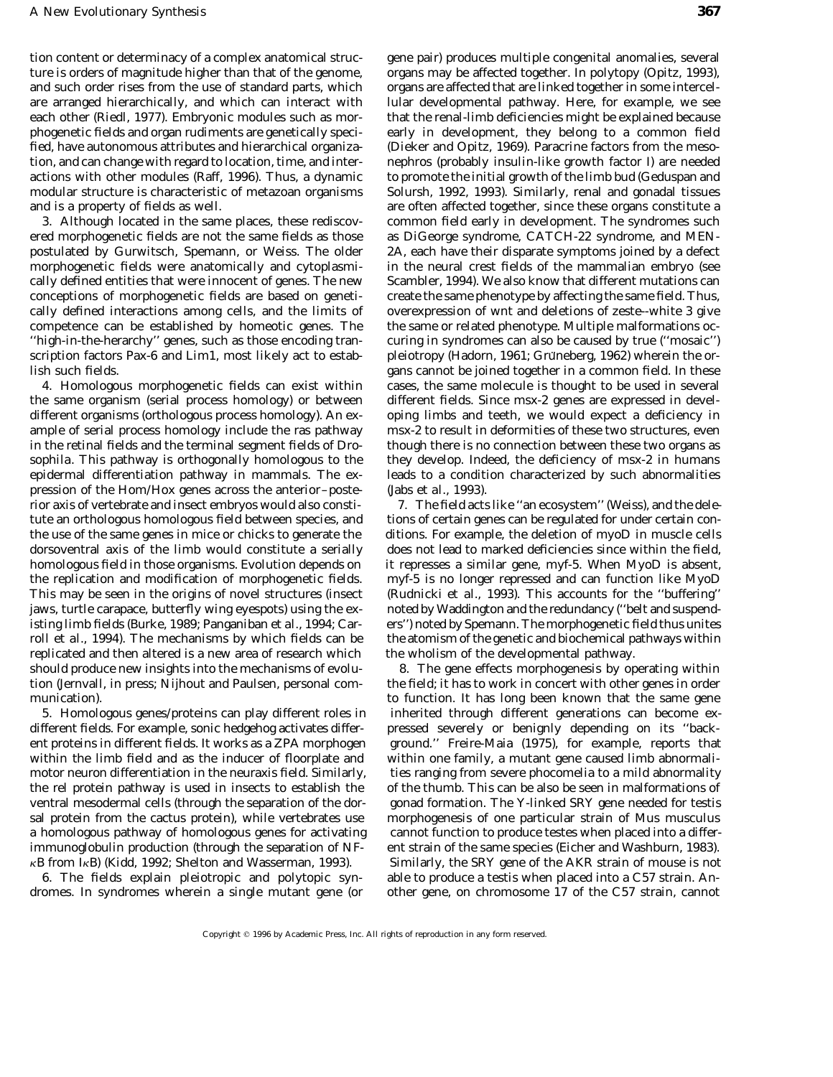tion content or determinacy of a complex anatomical struc- gene pair) produces multiple congenital anomalies, several ture is orders of magnitude higher than that of the genome, organs may be affected together. In polytopy (Opitz, 1993), and such order rises from the use of standard parts, which organs are affected that are linked together in some intercelare arranged hierarchically, and which can interact with lular developmental pathway. Here, for example, we see each other (Riedl, 1977). Embryonic modules such as mor- that the renal-limb deficiencies might be explained because phogenetic fields and organ rudiments are genetically speci- early in development, they belong to a common field fied, have autonomous attributes and hierarchical organiza- (Dieker and Opitz, 1969). Paracrine factors from the mesotion, and can change with regard to location, time, and inter- nephros (probably insulin-like growth factor I) are needed actions with other modules (Raff, 1996). Thus, a dynamic to promote the initial growth of the limb bud (Geduspan and modular structure is characteristic of metazoan organisms Solursh, 1992, 1993). Similarly, renal and gonadal tissues and is a property of fields as well.  $\qquad \qquad \text{are often affected together, since these organs constitute a}$ 

3. Although located in the same places, these rediscov- common field early in development. The syndromes such ered morphogenetic fields are not the same fields as those as DiGeorge syndrome, CATCH-22 syndrome, and MENpostulated by Gurwitsch, Spemann, or Weiss. The older 2A, each have their disparate symptoms joined by a defect morphogenetic fields were anatomically and cytoplasmi- in the neural crest fields of the mammalian embryo (see cally defined entities that were innocent of genes. The new Scambler, 1994). We also know that different mutations can conceptions of morphogenetic fields are based on geneti- create the same phenotype by affecting the same field. Thus, cally defined interactions among cells, and the limits of overexpression of *wnt* and deletions of *zeste--white 3* give competence can be established by homeotic genes. The the same or related phenotype. Multiple malformations oc-''high-in-the-herarchy'' genes, such as those encoding tran- curing in syndromes can also be caused by true (''mosaic'') scription factors Pax-6 and Lim1, most likely act to estab- pleiotropy (Hadorn, 1961; Grüneberg, 1962) wherein the orlish such fields. gans cannot be joined together in a common field. In these

4. Homologous morphogenetic fields can exist within cases, the same molecule is thought to be used in several the same organism (serial process homology) or between different fields. Since *msx-2* genes are expressed in develdifferent organisms (orthologous process homology). An ex- oping limbs and teeth, we would expect a deficiency in ample of serial process homology include the ras pathway *msx-2* to result in deformities of these two structures, even in the retinal fields and the terminal segment fields of *Dro-* though there is no connection between these two organs as sophila. This pathway is orthogonally homologous to the they develop. Indeed, the deficiency of *msx-2* in humans epidermal differentiation pathway in mammals. The ex- leads to a condition characterized by such abnormalities pression of the Hom/Hox genes across the anterior–poste- (Jabs *et al.,* 1993). tute an orthologous homologous field between species, and tions of certain genes can be regulated for under certain condorsoventral axis of the limb would constitute a serially does not lead to marked deficiencies since within the field, the replication and modification of morphogenetic fields. myf-5 is no longer repressed and can function like MyoD This may be seen in the origins of novel structures (insect (Rudnicki *et al.,* 1993). This accounts for the ''buffering'' replicated and then altered is a new area of research which the wholism of the developmental pathway. should produce new insights into the mechanisms of evolu-<br>8. The gene effects morphogenesis by operating within tion (Jernvall, in press; Nijhout and Paulsen, personal com- the field; it has to work in concert with other genes in order munication). The same gene to function. It has long been known that the same gene

different fields. For example, sonic hedgehog activates differ- pressed severely or benignly depending on its ''backent proteins in different fields. It works as a ZPA morphogen ground.'' Freire-Maia (1975), for example, reports that within the limb field and as the inducer of floorplate and within one family, a mutant gene caused limb abnormalimotor neuron differentiation in the neuraxis field. Similarly, ties ranging from severe phocomelia to a mild abnormality the rel protein pathway is used in insects to establish the of the thumb. This can be also be seen in malformations of ventral mesodermal cells (through the separation of the dor- gonad formation. The Y-linked SRY gene needed for testis sal protein from the cactus protein), while vertebrates use morphogenesis of one particular strain of *Mus musculus* a homologous pathway of homologous genes for activating cannot function to produce testes when placed into a differimmunoglobulin production (through the separation of NF- ent strain of the same species (Eicher and Washburn, 1983). kB from IkB) (Kidd, 1992; Shelton and Wasserman, 1993). Similarly, the SRY gene of the AKR strain of mouse is not

dromes. In syndromes wherein a single mutant gene (or other gene, on chromosome 17 of the C57 strain, cannot

rior axis of vertebrate and insect embryos would also consti- 7. The field acts like ''an ecosystem'' (Weiss), and the delethe use of the same genes in mice or chicks to generate the ditions. For example, the deletion of myoD in muscle cells homologous field in those organisms. Evolution depends on it represses a similar gene, myf-5. When MyoD is absent, jaws, turtle carapace, butterfly wing eyespots) using the ex- noted by Waddington and the redundancy (''belt and suspendisting limb fields (Burke, 1989; Panganiban *et al.,* 1994; Car- ers'') noted by Spemann. The morphogenetic field thus unites roll *et al.*, 1994). The mechanisms by which fields can be the atomism of the genetic and biochemical pathways within

5. Homologous genes/proteins can play different roles in inherited through different generations can become ex-6. The fields explain pleiotropic and polytopic syn- able to produce a testis when placed into a C57 strain. An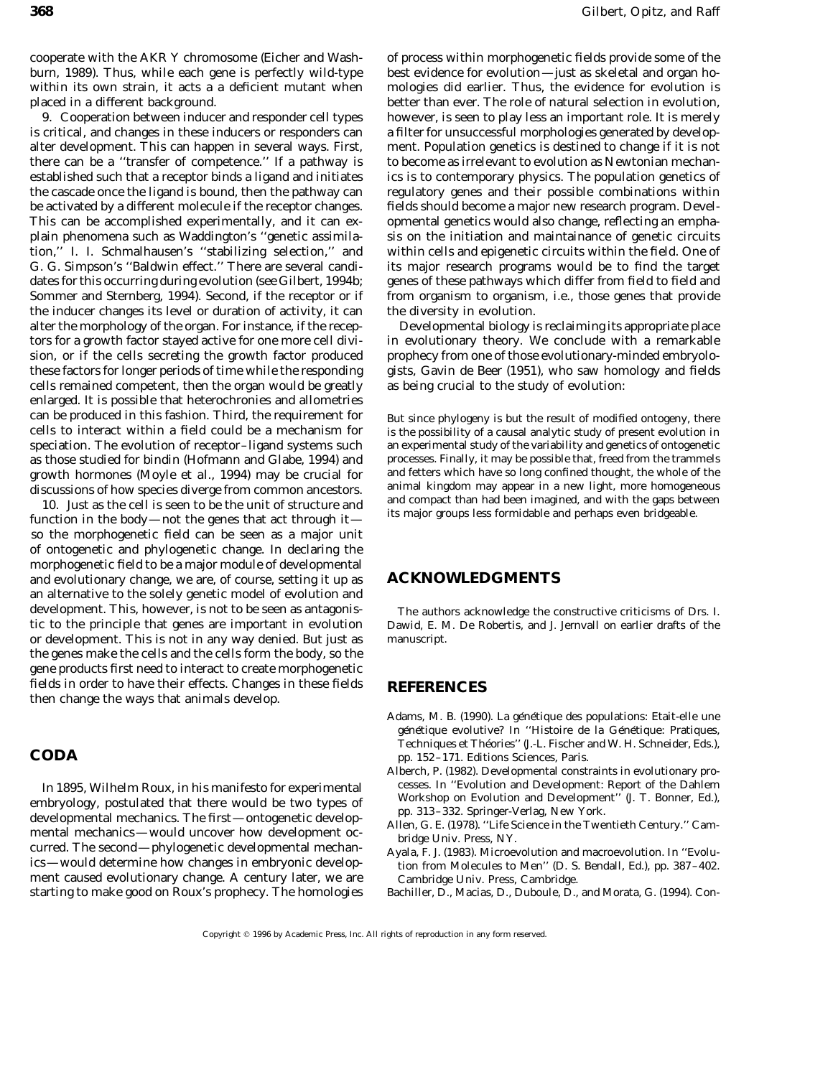cooperate with the AKR Y chromosome (Eicher and Wash- of process within morphogenetic fields provide some of the

is critical, and changes in these inducers or responders can a filter for unsuccessful morphologies generated by developalter development. This can happen in several ways. First, ment. Population genetics is destined to change if it is not there can be a ''transfer of competence.'' If a pathway is to become as irrelevant to evolution as Newtonian mechanestablished such that a receptor binds a ligand and initiates ics is to contemporary physics. The population genetics of the cascade once the ligand is bound, then the pathway can regulatory genes and their possible combinations within be activated by a different molecule if the receptor changes. fields should become a major new research program. Devel-This can be accomplished experimentally, and it can ex- opmental genetics would also change, reflecting an emphaplain phenomena such as Waddington's ''genetic assimila- sis on the initiation and maintainance of genetic circuits tion,'' I. I. Schmalhausen's ''stabilizing selection,'' and within cells and epigenetic circuits within the field. One of G. G. Simpson's ''Baldwin effect.'' There are several candi- its major research programs would be to find the target dates for this occurring during evolution (see Gilbert, 1994b; genes of these pathways which differ from field to field and Sommer and Sternberg, 1994). Second, if the receptor or if from organism to organism, i.e., those genes that provide the inducer changes its level or duration of activity, it can the diversity in evolution. alter the morphology of the organ. For instance, if the recep- Developmental biology is reclaiming its appropriate place tors for a growth factor stayed active for one more cell divi- in evolutionary theory. We conclude with a remarkable sion, or if the cells secreting the growth factor produced prophecy from one of those evolutionary-minded embryolothese factors for longer periods of time while the responding gists, Gavin de Beer (1951), who saw homology and fields cells remained competent, then the organ would be greatly as being crucial to the study of evolution: enlarged. It is possible that heterochronies and allometries can be produced in this fashion. Third, the requirement for But since phylogeny is but the result of modified ontogeny, there cells to interact within a field could be a mechanism for is the possibility of a causal analytic study of present evolution in speciation. The evolution of receptor–ligand systems such an experimental study of the variability and genetics of ontogenetic as those studied for bindin (Hofmann and Glabe, 1994) and processes. Finally, it may be possible that, freed from the trammels<br>growth hormones (Moyle *et al.* 1994) may be crucial for and fetters which have so long confine growth hormones (Moyle *et al.*, 1994) may be crucial for and fetters which have so long confined thought, the whole of the<br>discussions of how species diverse from common apcestors animal kingdom may appear in a new light,

so the morphogenetic field can be seen as a major unit of ontogenetic and phylogenetic change. In declaring the morphogenetic field to be a major module of developmental and evolutionary change, we are, of course, setting it up as **ACKNOWLEDGMENTS** an alternative to the solely genetic model of evolution and development. This, however, is not to be seen as antagonis- The authors acknowledge the constructive criticisms of Drs. I. tic to the principle that genes are important in evolution Dawid, E. M. De Robertis, and J. Jernvall on earlier drafts of the or development. This is not in any way denied. But just as manuscript. the genes make the cells and the cells form the body, so the gene products first need to interact to create morphogenetic fields in order to have their effects. Changes in these fields **REFERENCES** then change the ways that animals develop.

embryology, postulated that there would be two types of Workshop on Evolution and Development" (J. T. Bonner, Ed.),<br>developmental mechanics. The first—*ontogenetic* develop-<br>mental mechanics—would uncover how development o ics—would determine how changes in embryonic develop- tion from Molecules to Men'' (D. S. Bendall, Ed.), pp. 387–402. ment caused evolutionary change. A century later, we are Cambridge Univ. Press, Cambridge. starting to make good on Roux's prophecy. The homologies Bachiller, D., Macias, D., Duboule, D., and Morata, G. (1994). Con-

burn, 1989). Thus, while each gene is perfectly wild-type best evidence for evolution—just as skeletal and organ howithin its own strain, it acts a a deficient mutant when mologies did earlier. Thus, the evidence for evolution is placed in a different background. better than ever. The role of natural selection in evolution, 9. Cooperation between inducer and responder cell types however, is seen to play less an important role. It is merely

discussions of how species diverge from common ancestors.<br>10. Just as the cell is seen to be the unit of structure and<br>function in the body—not the genes that act through it—<br>function in the body—not the genes that act thr

- Adams, M. B. (1990). La génétique des populations: Etait-elle une génétique evolutive? *In* "Histoire de la Génétique: Pratiques, Techniques et Théories" (J.-L. Fischer and W. H. Schneider, Eds.), **CODA** pp. 152–171. Editions Sciences, Paris.
	- Alberch, P. (1982). Developmental constraints in evolutionary pro-In 1895, Wilhelm Roux, in his manifesto for experimental cesses. *In* ''Evolution and Development: Report of the Dahlem
		-
		-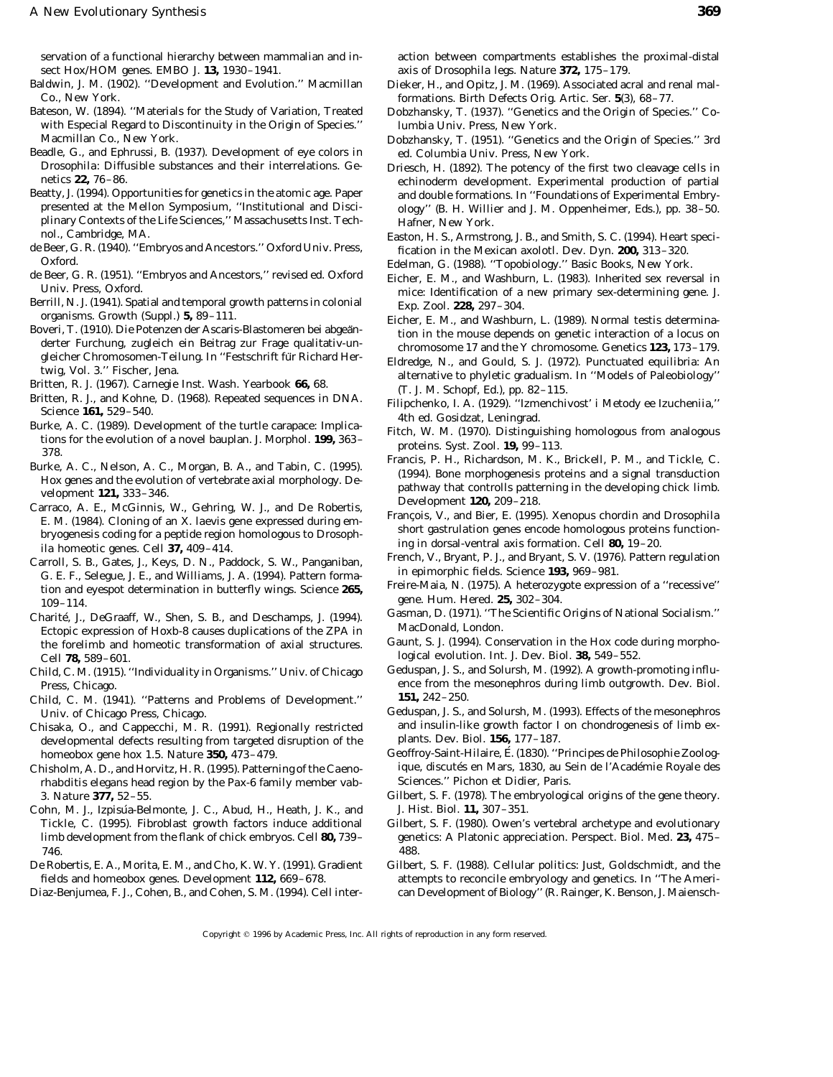sect Hox/HOM genes. *EMBO J.* **13,** 1930–1941. axis of *Drosophila* legs. *Nature* **372,** 175–179.

- Co., New York. formations. *Birth Defects Orig. Artic. Ser.* **5**(3), 68–77.
- Bateson, W. (1894). ''Materials for the Study of Variation, Treated Dobzhansky, T. (1937). ''Genetics and the Origin of Species.'' Cowith Especial Regard to Discontinuity in the Origin of Species.'' lumbia Univ. Press, New York.
- Beadle, G., and Ephrussi, B. (1937). Development of eye colors in ed. Columbia Univ. Press, New York.<br>Drosophila: Diffusible substances and their interrelations. Ge- Driesch. H. (1892). The potency of the i
- plinary Contexts of the Life Sciences,'' Massachusetts Inst. Tech-<br>
nol., Cambridge, MA.<br>
Faston H S Armstro
- de Beer, G. R. (1940). ''Embryos and Ancestors.'' Oxford Univ. Press, fication in the Mexican axolotl. *Dev. Dyn.* **200,** 313–320.
- Oxford. Edelman, G. (1988). ''Topobiology.'' Basic Books, New York.<br>de Beer, G. R. (1951). ''Embryos and Ancestors,'' revised ed. Oxford Eicher, E. M., and Washburn, L. (1983). Inherited sex reversal in<br>Univ. Press. Oxford
- Berrill, N. J. (1941). Spatial and temporal growth patterns in colonial *Exp. Zool.* **228,** 297–304.
- overi, T. (1910). Die Potenzen der Ascaris-Blastomeren bei abgeän-<br>derter Furchung, zugleich ein Beitrag zur Frage qualitativ-un-<br>gleicher Chromosomen-Teilung. In ''Festschrift für Richard Her-<br>gleicher Chromosomen-Teilung
- 
- 
- 
- 
- 
- *ila* homeotic genes. Cell 37, 409–414.<br>Carroll, S. B., Gates, J., Keys, D. N., Paddock, S. W., Panganiban,<br>G. E. F., Selegue, J. E., and Williams, J. A. (1994). Pattern forma-<br>tion and eyespot determination in butterfly w gene. *Hum. Hered.* **25,** 302–304. 109–114.
- Charité, J., DeGraaff, W., Shen, S. B., and Deschamps, J. (1994). Gasman, D. (1971). "The Scientific Origins of National Socialism."<br>Ectopic expression of Hoxb-8 causes duplications of the ZPA in MacDonald, London.<br>the for *Cell* **78,** 589–601. logical evolution. *Int. J. Dev. Biol.* **38,** 549–552.
- Child, C. M. (1915). "Individuality in Organisms." Univ. of Chicago
- Child, C. M. (1941). "Patterns and Problems of Development."
- Chisaka, O., and Cappecchi, M. R. (1991). Regionally restricted developmental defects resulting from targeted disruption of the plants. *Dev. Biol.* **156,** 177–187.
- Chisholm, A. D., and Horvitz, H. R. (1995). Patterning of the *Caeno-* ique, discutés en Mars, 1830, au Sein de l'Académie Royale des *rhabditis elegans* head region by the *Pax-6* family member *vab* Sciences.'' Pichon e *rhabditis elegans* head region by the *Pax-6* family member *vab-*
- Cohn, M. J., Izpisúa-Belmonte, J. C., Abud, H., Heath, J. K., and *J. Hist. Biol.* 11, 307-351. 746. 488.
- De Robertis, E. A., Morita, E. M., and Cho, K. W. Y. (1991). Gradient Gilbert, S. F. (1988). Cellular politics: Just, Goldschmidt, and the
- Diaz-Benjumea, F. J., Cohen, B., and Cohen, S. M. (1994). Cell inter- can Development of Biology'' (R. Rainger, K. Benson, J. Maiensch-

servation of a functional hierarchy between mammalian and in- action between compartments establishes the proximal-distal

- Baldwin, J. M. (1902). "Development and Evolution." Macmillan Dieker, H., and Opitz, J. M. (1969). Associated acral and renal mal-
	-
	- Macmillan Co., New York. Dobzhansky, T. (1951). ''Genetics and the Origin of Species.'' 3rd
- *Driesch, H. (1892). The potency of the first two cleavage cells in netics* **22,** 76–86. echinoderm development. Experimental production of partial Beatty, J. (1994). Opportunities for genetics in the atomic age. Paper and double formations. *In* "Foundations of Experimental Embry-<br>18-50. pp. 38-50. pp. 38-50. ology" (B. H. Willier and J. M. Oppenheimer, Eds.), pp. 38-50.
- nol., Cambridge, MA.<br>de Beer, G. R. (1940). "Embryos and Ancestors." Oxford Univ. Press, fication in the Mexican axolotl. *Dev. Dyn*. 200, 313–320.
	-
	- mice: Identification of a new primary sex-determining gene. *J.*
- organisms. *Growth (Suppl.)* **5,** 89–111. Eicher, E. M., and Washburn, L. (1989). Normal testis determina-
	-
	-
	-
- gleicher Chromosomen-Teilung *In* "Festschrift for Richard Her-<br>
Eldredge, N., and Gould, S. J. (1972). Punctuated equilibria: An<br>
Britten, R. J. (1967). C*arnegie Inst. Wash. Yearbook* 66, 68.<br>
Eltren, R. J., and Kohne,
	-
	-
	-
	-
	-
	- Press, Chicago.<br>
	ence from the mesonephros during limb outgrowth. *Dev. Biol.*<br>
	hild C. M. (1941) "Patterns and Problems of Development" 151, 242-250.
	- Univ. of Chicago Press, Chicago.<br>
	hisaka O., and Cappecchi, M. R. (1991). Regionally restricted and insulin-like growth factor I on chondrogenesis of limb ex-
	- homeobox gene *hox 1.5. Nature* 350, 473–479. <sup>Ceoffroy-Saint-Hilaire, É. (1830). "Principes de Philosophie Zoolog-</sup>
	- *3. Nature* **377,** 52–55. Gilbert, S. F. (1978). The embryological origins of the gene theory.
	- Tickle, C. (1995). Fibroblast growth factors induce additional Gilbert, S. F. (1980). Owen's vertebral archetype and evolutionary limb development from the flank of chick embryos. *Cell* **80,** 739– genetics: A Platonic appreciation. *Perspect. Biol. Med.* **23,** 475–
	- fields and homeobox genes. *Development* **112,** 669–678. attempts to reconcile embryology and genetics. *In* ''The Ameri-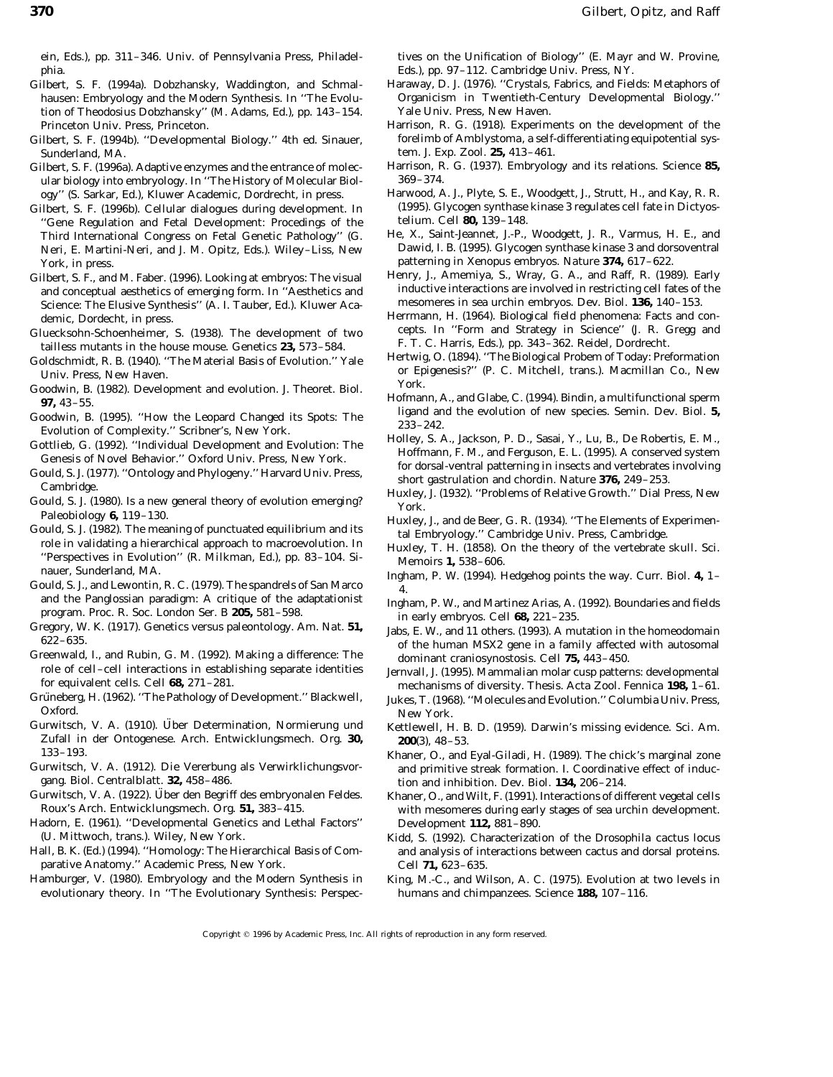phia. Eds.), pp. 97–112. Cambridge Univ. Press, NY.

- tion of Theodosius Dobzhansky'' (M. Adams, Ed.), pp. 143–154. Yale Univ. Press, New Haven.
- Sunderland, MA. tem. *J. Exp. Zool.* **25,** 413–461.
- ular biology into embryology. *In* "The History of Molecular Biol-369-374.
- Gilbert, S. F. (1996b). Cellular dialogues during development. *In* (1995). Glycogen synthase <br>Celling Fetal Development: Procedings of the *tellum. Cell* 80, 139-148. "Gene Regulation and Fetal Development: Procedings of the York, in press. patterning in *Xenopus* embryos. *Nature* **374,** 617–622.
- and conceptual aesthetics of emerging form. *In* "Aesthetics and inductive interactions are involved in restricting cell fates of  $\overline{S}$  of the and conceptual aesthetics of emerging form. *In* ''Aesthetics and inductive Science: The Elusive Synthesis" (A. I. Tauber, Ed.). Kluwer Aca-
- Gluecksohn-Schoenheimer, S. (1938). The development of two cepts. *In* "Form and Strategy in Science" (J. R. Gregge and Strategy in Science" (J. R. Gregge and Strategy and Strategy in Science'' (J. R. Gregg and Trailless m
- Goldschmidt, R. B. (1940). "The Material Basis of Evolution." Yale
- Goodwin, B. (1982). Development and evolution. *J. Theoret. Biol.*
- 
- 
- 
- 
- Gould, S. J. (1980). Is a new general theory of evolution emerging?<br>
Paleobiology 6, 119-130.<br>
Gould, S. J. (1982). The meaning of punctuated equilibrium and its<br>
role in validating a hierarchical approach to macroevolutio ''Perspectives in Evolution'' (R. Milkman, Ed.), pp. 83–104. Si- *Memoirs* **1,** 538–606.
- Gould, S. J., and Lewontin, R. C. (1979). The spandrels of San Marco  $\frac{9}{4}$ .<br>and the Panglossian paradigm: A critique of the adaptationist program. *Proc. R. Soc. London Ser. B* 205, 581–598.<br>
Gregory, W. K. (1917). Genetics versus paleontology. *Am. Nat.* 51, in early embryos. *Cell* 68, 221–235.
- Gregory, W. K. (1917). Genetics versus paleontology. *Am. Nat.* **51,** Jabs, E. W., and 11 others. (1993). A mutation in the homeodomain
- 
- 
- Gurwitsch, V. A. (1910). Über Determination, Normierung und Kettlewell, H. B. D. (1959). Darwin's missing evidence. Sci. Am. Zufall in der Ontogenese. *Arch. Entwicklungsmech. Org.* **30, 200**(3), 48–53.
- 
- Gurwitsch, V. A. (1922). Über den Begriff des embryonalen Feldes. Khaner, O., and Wilt, F. (1991). Interactions of different vegetal cells<br>With mesomeres during early stages of sea urchin development.
- Hadorn, E. (1961). ''Developmental Genetics and Lethal Factors'' *Development* **112,** 881–890. (U. Mittwoch, trans.). Wiley, New York. Kidd, S. (1992). Characterization of the *Drosophila cactus* locus
- parative Anatomy.'' Academic Press, New York. *Cell* **71,** 623–635.
- Hamburger, V. (1980). Embryology and the Modern Synthesis in King, M.-C., and Wilson, A. C. (1975). Evolution at two levels in evolutionary theory. *In* ''The Evolutionary Synthesis: Perspec- humans and chimpanzees. *Science* **188,** 107–116.

ein, Eds.), pp. 311–346. Univ. of Pennsylvania Press, Philadel- tives on the Unification of Biology'' (E. Mayr and W. Provine,

- Gilbert, S. F. (1994a). Dobzhansky, Waddington, and Schmal- Haraway, D. J. (1976). ''Crystals, Fabrics, and Fields: Metaphors of hausen: Embryology and the Modern Synthesis. *In* ''The Evolu- Organicism in Twentieth-Century Developmental Biology.''
- Princeton Univ. Press, Princeton. Harrison, R. G. (1918). Experiments on the development of the Gilbert, S. F. (1994b). "Developmental Biology." 4th ed. Sinauer, forelimb of *Amblystoma*, a self-differentiating equipotential sys-
- Gilbert, S. F. (1996a). Adaptive enzymes and the entrance of molec- Harrison, R. G. (1937). Embryology and its relations. *Science* **85,**
	- ogy'' (S. Sarkar, Ed.), Kluwer Academic, Dordrecht, in press. Harwood, A. J., Plyte, S. E., Woodgett, J., Strutt, H., and Kay, R. R.<br>ilbert, S. F. (1996b), Cellular dialogues during development, *In* (1995). Glycogen synth
	- Third International Congress on Fetal Genetic Pathology'' (G. He, X., Saint-Jeannet, J.-P., Woodgett, J. R., Varmus, H. E., and Neri, E. Martini-Neri, and J. M. Opitz, Eds.). Wiley–Liss, New Dawid, I. B. (1995). Glycogen synthase kinase 3 and dorsoventral
- Gilbert, S. F., and M. Faber. (1996). Looking at embryos: The visual Henry, J., Amemiya, S., Wray, G. A., and Raff, R. (1989). Early inductive interactions are involved in restricting cell fates of the and concentual aesth
	- demic, Dordecht, in press.<br>
	Herrmann, H. (1964). Biological field phenomena: Facts and con-<br>
	luecksohn-Schoenheimer S. (1938). The development of two cepts. In "Form and Strategy in Science" (J. R. Gregg and
	- F. T. C. Harris, Eds.), pp. 343–362. Reidel, Dordrecht. tailless mutants in the house mouse. *Genetics* **23,** 573–584. Univ. Press, New Haven.<br>Univ. Press, New Haven.<br>New Society of Epigenesis?'' (P. C. Mitchell, trans.). Macmillan Co., New York.
	- 97, 43–55.<br>
	97, 43–55.<br>
	97, 43–55.<br>
	97, 43–55. Hofmann, A., and Glabe, C. (1994). Bindin, a multifunctional sperm<br>
	97, 43–55.<br>
	97, 43–55.
- Goodwin, B. (1995). "How the Leopard Changed its Spots: The Free Revolution of Complexity." Scribner's, New York.<br>
Evolution of Complexity." Scribner's, New York.<br>
Gottlieb, G. (1992). "Individual Development and Evolution
	-
	-
	-
	- Ingham, P. W. (1994). Hedgehog points the way. *Curr. Biol.* 4, 1–
	- Ingham, P. W., and Martinez Arias, A. (1992). Boundaries and fields
- 622–635.<br>Greenwald, I., and Rubin, G. M. (1992). Making a difference: The dominant craniosynostosis. *Cell* 75, 443–450.<br>Iernyall I (1995) Mammalian molar cusp patterns: developmental to dominant craniosynostosis. *Cell* 7
- role of cell-cell interactions in establishing separate identities<br>for equivalent cells. Cell 68, 271–281.<br>Grüneberg, H. (1962). "The Pathology of Development." Blackwell, Jukes. T. (1968). "Molecules and Evolution." Colum
	- Gru¨ neberg, H. (1962). ''The Pathology of Development.'' Blackwell, Jukes, T. (1968). ''Molecules and Evolution.'' Columbia Univ. Press, New York.
		-
- 133–193. Khaner, O., and Eyal-Giladi, H. (1989). The chick's marginal zone urwitsch, V. A. (1912). Die Vererbung als Verwirklichungsvor- and primitive streak formation. I. Coordinative effect of induc-<br>gang. Biol. Centralblatt. 32, 458-486. tion and inhibition. *Dev. Biol.* 134, 206-214.
	- with mesomeres during early stages of sea urchin development.
- Hall, B. K. (Ed.) (1994). ''Homology: The Hierarchical Basis of Com- and analysis of interactions between cactus and dorsal proteins.
	-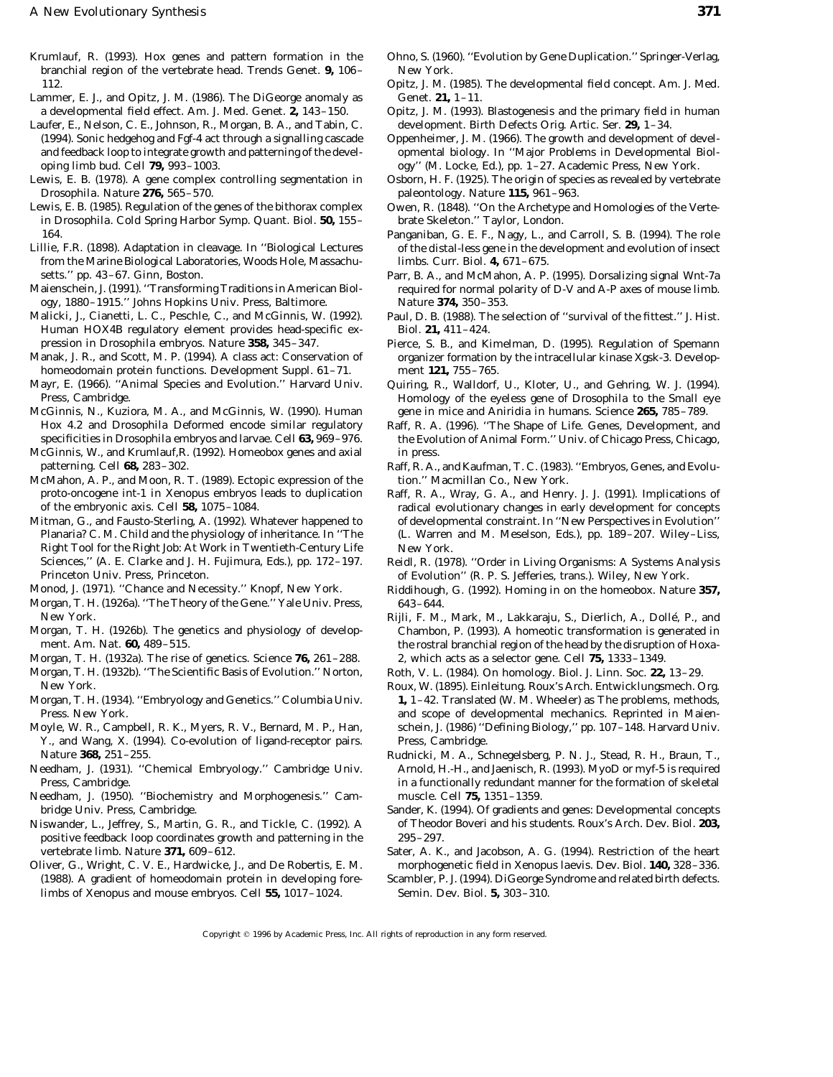- branchial region of the vertebrate head. *Trends Genet.* **9,** 106– New York.
- Lammer, E. J., and Opitz, J. M. (1986). The DiGeorge anomaly as *Genet.* **21,** 1–11.
- Laufer, E., Nelson, C. E., Johnson, R., Morgan, B. A., and Tabin, C. development. *Birth Defects Orig. Artic. Ser.* **29,** 1–34. oping limb bud. *Cell* **79,** 993–1003. ogy'' (M. Locke, Ed.), pp. 1–27. Academic Press, New York.
- *Drosophila. Nature* **276,** 565–570. paleontology. *Nature* **115,** 961–963.
- in *Drosophila. Cold Spring Harbor Symp. Quant. Biol.* **50,** 155– brate Skeleton.'' Taylor, London.
- from the Marine Biological Laboratories, Woods Hole, Massachu- limbs. *Curr. Biol.* **4,** 671–675.
- ogy, 1880–1915.'' Johns Hopkins Univ. Press, Baltimore. *Nature* **374,** 350–353.
- Malicki, J., Cianetti, L. C., Peschle, C., and McGinnis, W. (1992). Paul, D. B. (1988). The selection of ''survival of the fittest.'' *J. Hist.* Human HOX4B regulatory element provides head-specific ex- *Biol.* **21,** 411–424.
- homeodomain protein functions. *Development Suppl.* 61–71. *ment* **121,** 755–765.
- 
- McGinnis, N., Kuziora, M. A., and McGinnis, W. (1990). Human gene in mice and *Aniridia* in humans. *Science* **265,** 785–789.
- McGinnis, W., and Krumlauf,R. (1992). Homeobox genes and axial in press.
- McMahon, A. P., and Moon, R. T. (1989). Ectopic expression of the tion.'' Macmillan Co., New York.
- Mitman, G., and Fausto-Sterling, A. (1992). Whatever happened to of developmental constraint. *In* "New Perspectives in Evolution" Right Tool for the Right Job: At Work in Twentieth-Century Life New York. Sciences,'' (A. E. Clarke and J. H. Fujimura, Eds.), pp. 172–197. Reidl, R. (1978). ''Order in Living Organisms: A Systems Analysis Princeton Univ. Press, Princeton. **of Evolution'' (R. P. S. Jefferies, trans.**). Wiley, New York.
- 
- Morgan, T. H. (1926a). ''The Theory of the Gene.'' Yale Univ. Press, 643–644.
- 
- Morgan, T. H. (1932a). The rise of genetics. *Science* **76,** 261–288. *2,* which acts as a selector gene. *Cell* **75,** 1333–1349.
- 
- 
- Y., and Wang, X. (1994). Co-evolution of ligand-receptor pairs. Press, Cambridge.
- Needham, J. (1931). ''Chemical Embryology.'' Cambridge Univ. Arnold, H.-H., and Jaenisch, R. (1993). MyoD or myf-5 is required
- Needham, J. (1950). ''Biochemistry and Morphogenesis.'' Cam- muscle. *Cell* **75,** 1351–1359.
- Niswander, L., Jeffrey, S., Martin, G. R., and Tickle, C. (1992). A of Theodor Boveri and his students. *Roux's Arch. Dev. Biol.* **203,** positive feedback loop coordinates growth and patterning in the 295–297.
- Oliver, G., Wright, C. V. E., Hardwicke, J., and De Robertis, E. M. morphogenetic field in *Xenopus laevis. Dev. Biol.* **140,** 328–336. limbs of *Xenopus* and mouse embryos. *Cell* **55,** 1017–1024. *Semin. Dev. Biol.* **5,** 303–310.
- Krumlauf, R. (1993). *Hox* genes and pattern formation in the Ohno, S. (1960). ''Evolution by Gene Duplication.'' Springer-Verlag,
	- 112. Opitz, J. M. (1985). The developmental field concept. *Am. J. Med.*
	- a developmental field effect. *Am. J. Med. Genet.* **2,** 143–150. Opitz, J. M. (1993). Blastogenesis and the primary field in human
	- (1994). Sonic hedgehog and Fgf-4 act through a signalling cascade Oppenheimer, J. M. (1966). The growth and development of develand feedback loop to integrate growth and patterning of the devel- opmental biology. *In* ''Major Problems in Developmental Biol-
- Lewis, E. B. (1978). A gene complex controlling segmentation in Osborn, H. F. (1925). The origin of species as revealed by vertebrate
- Lewis, E. B. (1985). Regulation of the genes of the bithorax complex Owen, R. (1848). ''On the Archetype and Homologies of the Verte-
- 164. Panganiban, G. E. F., Nagy, L., and Carroll, S. B. (1994). The role Lillie, F.R. (1898). Adaptation in cleavage. *In* ''Biological Lectures of the *distal-less* gene in the development and evolution of insect
- setts." pp. 43–67. Ginn, Boston. Parr, B. A., and McMahon, A. P. (1995). Dorsalizing signal Wnt-7a Maienschein, J. (1991). ''Transforming Traditions in American Biol- required for normal polarity of D-V and A-P axes of mouse limb.
	-
- pression in *Drosophila* embryos. *Nature* **358,** 345–347. Pierce, S. B., and Kimelman, D. (1995). Regulation of Spemann Manak, J. R., and Scott, M. P. (1994). A class act: Conservation of organizer formation by the intracellular kinase Xgsk-3. *Develop-*
- Mayr, E. (1966). ''Animal Species and Evolution.'' Harvard Univ. Quiring, R., Walldorf, U., Kloter, U., and Gehring, W. J. (1994). Press, Cambridge. Homology of the *eyeless* gene of *Drosophila* to the *Small eye*
	- *Hox 4.2* and *Drosophila Deformed* encode similar regulatory Raff, R. A. (1996). ''The Shape of Life. Genes, Development, and specificities in *Drosophila* embryos and larvae. *Cell* **63,** 969–976. the Evolution of Animal Form.'' Univ. of Chicago Press, Chicago,
	- patterning. *Cell* **68,** 283–302. Raff, R. A., and Kaufman, T. C. (1983). ''Embryos, Genes, and Evolu-
	- proto-oncogene int-1 in *Xenopus* embryos leads to duplication Raff, R. A., Wray, G. A., and Henry. J. J. (1991). Implications of of the embryonic axis. *Cell* **58,** 1075–1084. radical evolutionary changes in early development for concepts Planaria? C. M. Child and the physiology of inheritance. *In* ''The (L. Warren and M. Meselson, Eds.), pp. 189–207. Wiley–Liss,
		-
- Monod, J. (1971). ''Chance and Necessity.'' Knopf, New York. Riddihough, G. (1992). Homing in on the homeobox. *Nature* **357,**
- New York. The Contract of the Contract of Rijli, F. M., Mark, M., Lakkaraju, S., Dierlich, A., Dollé, P., and Morgan, T. H. (1926b). The genetics and physiology of develop- Chambon, P. (1993). A homeotic transformation is generated in ment. *Am. Nat.* 60, 489-515. the rostral branchial region of the head by the disruption of *Hoxa-*
- Morgan, T. H. (1932b). ''The Scientific Basis of Evolution.'' Norton, Roth, V. L. (1984). On homology. *Biol. J. Linn. Soc.* **22,** 13–29.
- New York. Roux, W. (1895). Einleitung. *Roux's Arch. Entwicklungsmech. Org.* Morgan, T. H. (1934). ''Embryology and Genetics.'' Columbia Univ. **1,** 1–42. Translated (W. M. Wheeler) as The problems, methods, Press. New York. **And Scope of developmental mechanics. Reprinted in Maien-**Moyle, W. R., Campbell, R. K., Myers, R. V., Bernard, M. P., Han, schein, J. (1986) ''Defining Biology,'' pp. 107–148. Harvard Univ.
	- *Nature* **368,** 251–255. Rudnicki, M. A., Schnegelsberg, P. N. J., Stead, R. H., Braun, T., Press, Cambridge. in a functionally redundant manner for the formation of skeletal
	- bridge Univ. Press, Cambridge. Sander, K. (1994). Of gradients and genes: Developmental concepts
	- vertebrate limb. *Nature* **371,** 609–612. Sater, A. K., and Jacobson, A. G. (1994). Restriction of the heart

(1988). A gradient of homeodomain protein in developing fore- Scambler, P. J. (1994). DiGeorge Syndrome and related birth defects.